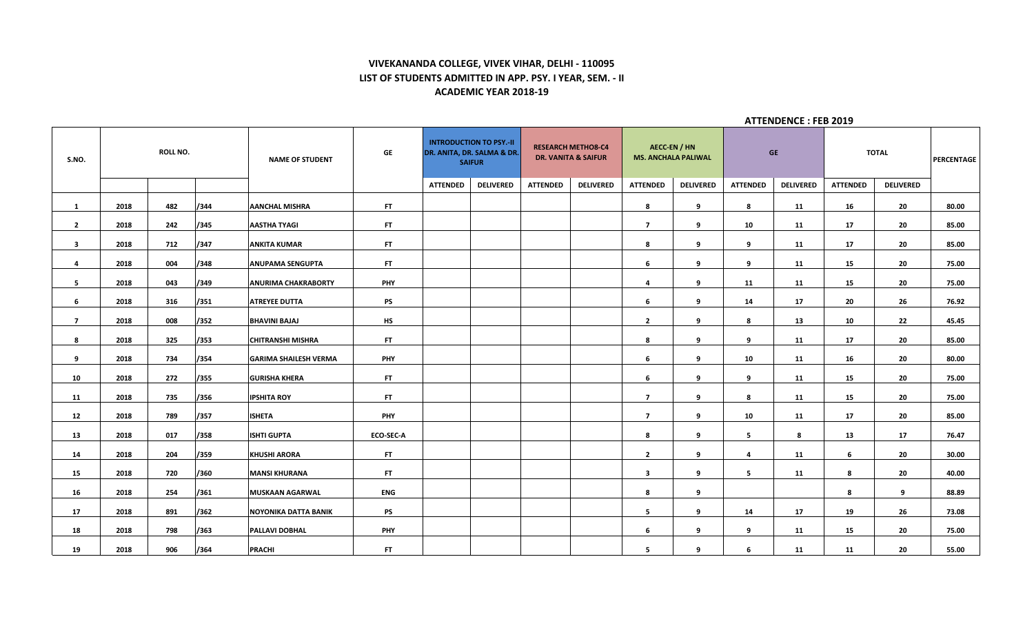# **VIVEKANANDA COLLEGE, VIVEK VIHAR, DELHI - 110095 LIST OF STUDENTS ADMITTED IN APP. PSY. I YEAR, SEM. - II ACADEMIC YEAR 2018-19**

| S.NO.          |      | <b>ROLL NO.</b> |      | <b>NAME OF STUDENT</b>       | GE               |                 | <b>INTRODUCTION TO PSY.-II</b><br>DR. ANITA, DR. SALMA & DR.<br><b>SAIFUR</b> |                 | <b>RESEARCH METHO8-C4</b><br><b>DR. VANITA &amp; SAIFUR</b> | <b>AECC-EN / HN</b><br><b>MS. ANCHALA PALIWAL</b> |                  |                         | <b>GE</b>        |                 | <b>TOTAL</b>     | <b>PERCENTAGE</b> |
|----------------|------|-----------------|------|------------------------------|------------------|-----------------|-------------------------------------------------------------------------------|-----------------|-------------------------------------------------------------|---------------------------------------------------|------------------|-------------------------|------------------|-----------------|------------------|-------------------|
|                |      |                 |      |                              |                  | <b>ATTENDED</b> | <b>DELIVERED</b>                                                              | <b>ATTENDED</b> | <b>DELIVERED</b>                                            | <b>ATTENDED</b>                                   | <b>DELIVERED</b> | <b>ATTENDED</b>         | <b>DELIVERED</b> | <b>ATTENDED</b> | <b>DELIVERED</b> |                   |
| $\mathbf{1}$   | 2018 | 482             | /344 | <b>AANCHAL MISHRA</b>        | FT.              |                 |                                                                               |                 |                                                             | 8                                                 | 9                | 8                       | 11               | 16              | 20               | 80.00             |
| $\overline{2}$ | 2018 | 242             | /345 | <b>AASTHA TYAGI</b>          | FT.              |                 |                                                                               |                 |                                                             | $\overline{7}$                                    | 9                | 10                      | 11               | 17              | 20               | 85.00             |
| $\mathbf{3}$   | 2018 | 712             | /347 | <b>ANKITA KUMAR</b>          | FT.              |                 |                                                                               |                 |                                                             | 8                                                 | 9                | 9                       | 11               | 17              | 20               | 85.00             |
| $\overline{4}$ | 2018 | 004             | /348 | <b>ANUPAMA SENGUPTA</b>      | FT.              |                 |                                                                               |                 |                                                             | 6                                                 | 9                | 9                       | 11               | 15              | 20               | 75.00             |
| 5              | 2018 | 043             | /349 | <b>ANURIMA CHAKRABORTY</b>   | <b>PHY</b>       |                 |                                                                               |                 |                                                             | 4                                                 | 9                | 11                      | 11               | 15              | 20               | 75.00             |
| 6              | 2018 | 316             | /351 | <b>ATREYEE DUTTA</b>         | <b>PS</b>        |                 |                                                                               |                 |                                                             | 6                                                 | 9                | 14                      | 17               | 20              | 26               | 76.92             |
| $\overline{7}$ | 2018 | 008             | /352 | <b>BHAVINI BAJAJ</b>         | <b>HS</b>        |                 |                                                                               |                 |                                                             | $\mathbf{2}$                                      | 9                | 8                       | 13               | 10              | 22               | 45.45             |
| 8              | 2018 | 325             | /353 | <b>CHITRANSHI MISHRA</b>     | FT.              |                 |                                                                               |                 |                                                             | 8                                                 | 9                | 9                       | 11               | 17              | 20               | 85.00             |
| 9              | 2018 | 734             | /354 | <b>GARIMA SHAILESH VERMA</b> | <b>PHY</b>       |                 |                                                                               |                 |                                                             | 6                                                 | 9                | 10                      | 11               | 16              | 20               | 80.00             |
| 10             | 2018 | 272             | /355 | <b>GURISHA KHERA</b>         | FT.              |                 |                                                                               |                 |                                                             | 6                                                 | 9                | 9                       | 11               | 15              | 20               | 75.00             |
| 11             | 2018 | 735             | /356 | <b>IPSHITA ROY</b>           | FT.              |                 |                                                                               |                 |                                                             | $\overline{7}$                                    | 9                | 8                       | 11               | 15              | 20               | 75.00             |
| 12             | 2018 | 789             | /357 | <b>ISHETA</b>                | PHY              |                 |                                                                               |                 |                                                             | $\overline{7}$                                    | 9                | 10                      | 11               | 17              | 20               | 85.00             |
| 13             | 2018 | 017             | /358 | <b>ISHTI GUPTA</b>           | <b>ECO-SEC-A</b> |                 |                                                                               |                 |                                                             | 8                                                 | 9                | $5^{\circ}$             | 8                | 13              | 17               | 76.47             |
| 14             | 2018 | 204             | /359 | <b>KHUSHI ARORA</b>          | FT.              |                 |                                                                               |                 |                                                             | $\mathbf{2}$                                      | 9                | $\overline{\mathbf{4}}$ | 11               | 6               | 20               | 30.00             |
| 15             | 2018 | 720             | /360 | <b>MANSI KHURANA</b>         | FT.              |                 |                                                                               |                 |                                                             | $\overline{\mathbf{3}}$                           | 9                | 5                       | 11               | 8               | 20               | 40.00             |
| 16             | 2018 | 254             | /361 | <b>MUSKAAN AGARWAL</b>       | ENG              |                 |                                                                               |                 |                                                             | 8                                                 | 9                |                         |                  | 8               | 9                | 88.89             |
| 17             | 2018 | 891             | /362 | <b>NOYONIKA DATTA BANIK</b>  | <b>PS</b>        |                 |                                                                               |                 |                                                             | 5                                                 | 9                | 14                      | 17               | 19              | 26               | 73.08             |
| 18             | 2018 | 798             | /363 | <b>PALLAVI DOBHAL</b>        | <b>PHY</b>       |                 |                                                                               |                 |                                                             | 6                                                 | 9                | 9                       | 11               | 15              | 20               | 75.00             |
| 19             | 2018 | 906             | /364 | <b>PRACHI</b>                | FT.              |                 |                                                                               |                 |                                                             | 5                                                 | 9                | 6                       | 11               | 11              | 20               | 55.00             |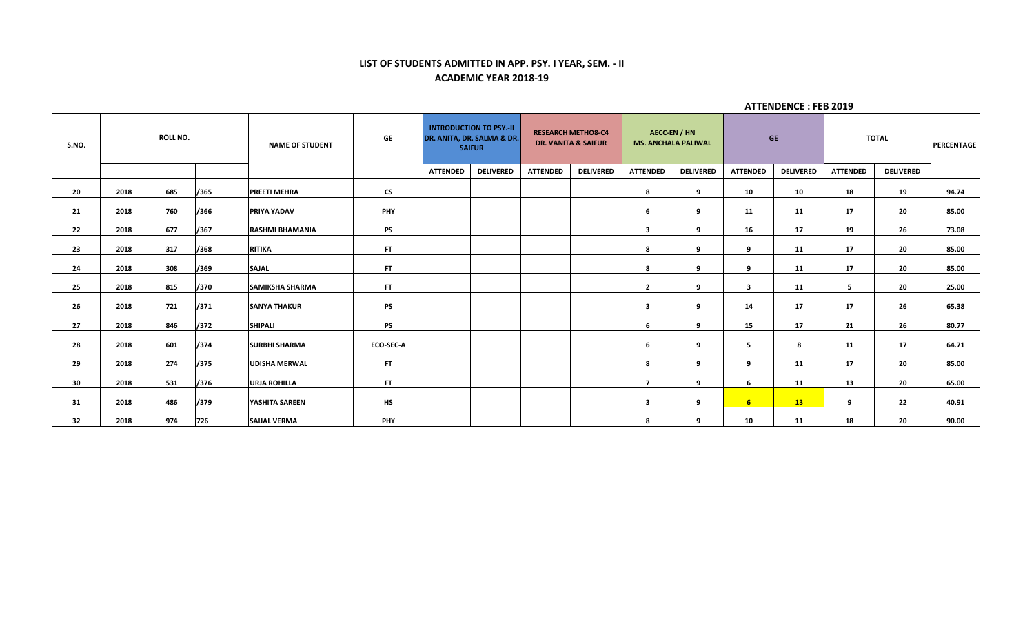# **LIST OF STUDENTS ADMITTED IN APP. PSY. I YEAR, SEM. - II ACADEMIC YEAR 2018-19**

| S.NO. |      | <b>ROLL NO.</b> |      | <b>NAME OF STUDENT</b> | <b>GE</b>                |                 | <b>INTRODUCTION TO PSY.-II</b><br>DR. ANITA, DR. SALMA & DR.<br><b>SAIFUR</b> |                 | <b>RESEARCH METHO8-C4</b><br><b>DR. VANITA &amp; SAIFUR</b> |                          | AECC-EN / HN<br><b>MS. ANCHALA PALIWAL</b> |                         | <b>GE</b>        |                 | <b>TOTAL</b>     | <b>PERCENTAGE</b> |
|-------|------|-----------------|------|------------------------|--------------------------|-----------------|-------------------------------------------------------------------------------|-----------------|-------------------------------------------------------------|--------------------------|--------------------------------------------|-------------------------|------------------|-----------------|------------------|-------------------|
|       |      |                 |      |                        |                          | <b>ATTENDED</b> | <b>DELIVERED</b>                                                              | <b>ATTENDED</b> | <b>DELIVERED</b>                                            | <b>ATTENDED</b>          | <b>DELIVERED</b>                           | <b>ATTENDED</b>         | <b>DELIVERED</b> | <b>ATTENDED</b> | <b>DELIVERED</b> |                   |
| 20    | 2018 | 685             | /365 | <b>PREETI MEHRA</b>    | $\mathsf{CS}\phantom{0}$ |                 |                                                                               |                 |                                                             | 8                        | 9                                          | 10                      | 10               | 18              | 19               | 94.74             |
| 21    | 2018 | 760             | /366 | <b>PRIYA YADAV</b>     | <b>PHY</b>               |                 |                                                                               |                 |                                                             | 6                        | 9                                          | 11                      | 11               | 17              | 20               | 85.00             |
| 22    | 2018 | 677             | /367 | <b>RASHMI BHAMANIA</b> | <b>PS</b>                |                 |                                                                               |                 |                                                             | 3                        | 9                                          | 16                      | 17               | 19              | 26               | 73.08             |
| 23    | 2018 | 317             | /368 | <b>RITIKA</b>          | <b>FT</b>                |                 |                                                                               |                 |                                                             | 8                        | 9                                          | 9                       | 11               | 17              | 20               | 85.00             |
| 24    | 2018 | 308             | /369 | <b>SAJAL</b>           | FT.                      |                 |                                                                               |                 |                                                             | 8                        | 9                                          | 9                       | 11               | 17              | 20               | 85.00             |
| 25    | 2018 | 815             | /370 | <b>SAMIKSHA SHARMA</b> | FT.                      |                 |                                                                               |                 |                                                             | $\overline{2}$           | 9                                          | $\overline{\mathbf{3}}$ | 11               | 5               | 20               | 25.00             |
| 26    | 2018 | 721             | /371 | <b>SANYA THAKUR</b>    | <b>PS</b>                |                 |                                                                               |                 |                                                             | $\overline{\mathbf{3}}$  | 9                                          | 14                      | 17               | 17              | 26               | 65.38             |
| 27    | 2018 | 846             | /372 | <b>SHIPALI</b>         | <b>PS</b>                |                 |                                                                               |                 |                                                             | 6                        | 9                                          | 15                      | 17               | 21              | 26               | 80.77             |
| 28    | 2018 | 601             | /374 | <b>SURBHI SHARMA</b>   | ECO-SEC-A                |                 |                                                                               |                 |                                                             | 6                        | 9                                          | 5                       | 8                | 11              | 17               | 64.71             |
| 29    | 2018 | 274             | /375 | <b>UDISHA MERWAL</b>   | FT.                      |                 |                                                                               |                 |                                                             | 8                        | 9                                          | 9                       | 11               | 17              | 20               | 85.00             |
| 30    | 2018 | 531             | /376 | <b>URJA ROHILLA</b>    | <b>FT</b>                |                 |                                                                               |                 |                                                             | $\overline{\phantom{a}}$ | 9                                          | 6                       | 11               | 13              | 20               | 65.00             |
| 31    | 2018 | 486             | /379 | YASHITA SAREEN         | <b>HS</b>                |                 |                                                                               |                 |                                                             | 3                        | 9                                          | 6 <sup>1</sup>          | 13               | 9               | 22               | 40.91             |
| 32    | 2018 | 974             | 726  | <b>SAIJAL VERMA</b>    | <b>PHY</b>               |                 |                                                                               |                 |                                                             | 8                        | 9                                          | 10                      | 11               | 18              | 20               | 90.00             |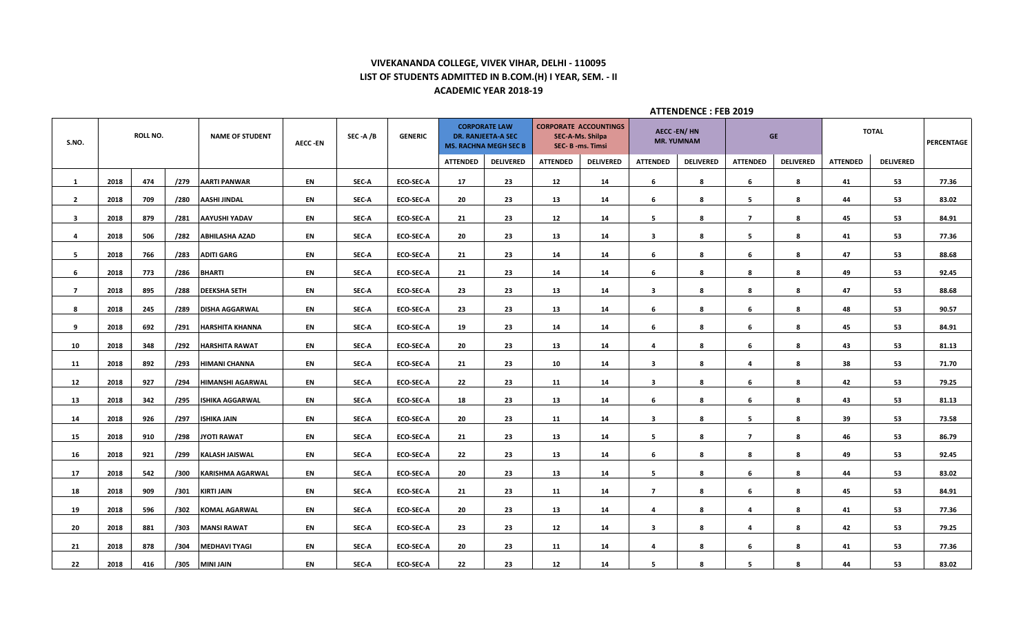## **VIVEKANANDA COLLEGE, VIVEK VIHAR, DELHI - 110095 LIST OF STUDENTS ADMITTED IN B.COM.(H) I YEAR, SEM. - II ACADEMIC YEAR 2018-19**

| S.NO.          |      | ROLL NO. |      | <b>NAME OF STUDENT</b>  | <b>AECC-EN</b> | SEC-A/B | <b>GENERIC</b>   |                 | <b>CORPORATE LAW</b><br><b>DR. RANJEETA-A SEC</b><br><b>MS. RACHNA MEGH SEC B</b> |                 | <b>CORPORATE ACCOUNTINGS</b><br>SEC-A-Ms. Shilpa<br>SEC- B -ms. Timsi |                         | <b>AECC-EN/HN</b><br><b>MR. YUMNAM</b> |                         | <b>GE</b>        |                 | <b>TOTAL</b>     | PERCENTAGE |
|----------------|------|----------|------|-------------------------|----------------|---------|------------------|-----------------|-----------------------------------------------------------------------------------|-----------------|-----------------------------------------------------------------------|-------------------------|----------------------------------------|-------------------------|------------------|-----------------|------------------|------------|
|                |      |          |      |                         |                |         |                  | <b>ATTENDED</b> | <b>DELIVERED</b>                                                                  | <b>ATTENDED</b> | <b>DELIVERED</b>                                                      | <b>ATTENDED</b>         | <b>DELIVERED</b>                       | <b>ATTENDED</b>         | <b>DELIVERED</b> | <b>ATTENDED</b> | <b>DELIVERED</b> |            |
| 1              | 2018 | 474      | /279 | <b>AARTI PANWAR</b>     | EN             | SEC-A   | ECO-SEC-A        | 17              | 23                                                                                | 12              | 14                                                                    | 6                       | 8                                      | 6                       | 8                | 41              | 53               | 77.36      |
| $\overline{2}$ | 2018 | 709      | /280 | <b>AASHI JINDAL</b>     | EN             | SEC-A   | ECO-SEC-A        | 20              | 23                                                                                | 13              | 14                                                                    | 6                       | 8                                      | 5                       | 8                | 44              | 53               | 83.02      |
| 3              | 2018 | 879      | /281 | <b>AAYUSHI YADAV</b>    | EN             | SEC-A   | ECO-SEC-A        | 21              | 23                                                                                | 12              | 14                                                                    | 5                       | 8                                      | $\overline{7}$          | 8                | 45              | 53               | 84.91      |
| 4              | 2018 | 506      | /282 | <b>ABHILASHA AZAD</b>   | EN             | SEC-A   | ECO-SEC-A        | 20              | 23                                                                                | 13              | 14                                                                    | $\overline{\mathbf{3}}$ | 8                                      | 5                       | 8                | 41              | 53               | 77.36      |
| 5              | 2018 | 766      | /283 | <b>ADITI GARG</b>       | EN             | SEC-A   | ECO-SEC-A        | 21              | 23                                                                                | 14              | 14                                                                    | 6                       | 8                                      | 6                       | 8                | 47              | 53               | 88.68      |
| 6              | 2018 | 773      | /286 | <b>BHARTI</b>           | EN             | SEC-A   | ECO-SEC-A        | 21              | 23                                                                                | 14              | 14                                                                    | 6                       | 8                                      | 8                       | 8                | 49              | 53               | 92.45      |
| $\overline{7}$ | 2018 | 895      | /288 | <b>DEEKSHA SETH</b>     | EN             | SEC-A   | ECO-SEC-A        | 23              | 23                                                                                | 13              | 14                                                                    | $\overline{\mathbf{3}}$ | 8                                      | 8                       | 8                | 47              | 53               | 88.68      |
| 8              | 2018 | 245      | /289 | <b>DISHA AGGARWAL</b>   | EN             | SEC-A   | <b>ECO-SEC-A</b> | 23              | 23                                                                                | 13              | 14                                                                    | 6                       | 8                                      | 6                       | 8                | 48              | 53               | 90.57      |
| 9              | 2018 | 692      | /291 | <b>HARSHITA KHANNA</b>  | EN             | SEC-A   | <b>ECO-SEC-A</b> | 19              | 23                                                                                | 14              | 14                                                                    | 6                       | 8                                      | 6                       | 8                | 45              | 53               | 84.91      |
| 10             | 2018 | 348      | /292 | <b>HARSHITA RAWAT</b>   | EN             | SEC-A   | <b>ECO-SEC-A</b> | 20              | 23                                                                                | 13              | 14                                                                    | 4                       | 8                                      | 6                       | 8                | 43              | -53              | 81.13      |
| 11             | 2018 | 892      | /293 | <b>HIMANI CHANNA</b>    | EN             | SEC-A   | <b>ECO-SEC-A</b> | 21              | 23                                                                                | 10              | 14                                                                    | $\overline{\mathbf{3}}$ | 8                                      | 4                       | 8                | 38              | 53               | 71.70      |
| 12             | 2018 | 927      | /294 | <b>HIMANSHI AGARWAL</b> | EN             | SEC-A   | <b>ECO-SEC-A</b> | 22              | 23                                                                                | 11              | 14                                                                    | $\mathbf{3}$            | 8                                      | 6                       | 8                | 42              | 53               | 79.25      |
| 13             | 2018 | 342      | /295 | <b>ISHIKA AGGARWAL</b>  | EN             | SEC-A   | ECO-SEC-A        | 18              | 23                                                                                | 13              | 14                                                                    | 6                       | 8                                      | 6                       | 8                | 43              | 53               | 81.13      |
| 14             | 2018 | 926      | /297 | <b>ISHIKA JAIN</b>      | EN             | SEC-A   | ECO-SEC-A        | 20              | 23                                                                                | 11              | 14                                                                    | $\overline{\mathbf{3}}$ | 8                                      | 5                       | 8                | 39              | 53               | 73.58      |
| 15             | 2018 | 910      | /298 | <b>JYOTI RAWAT</b>      | EN             | SEC-A   | <b>ECO-SEC-A</b> | 21              | 23                                                                                | 13              | 14                                                                    | 5                       | 8                                      | $\overline{7}$          | 8                | 46              | 53               | 86.79      |
| 16             | 2018 | 921      | /299 | <b>KALASH JAISWAL</b>   | EN             | SEC-A   | ECO-SEC-A        | 22              | 23                                                                                | 13              | 14                                                                    | 6                       | 8                                      | 8                       | 8                | 49              | 53               | 92.45      |
| 17             | 2018 | 542      | /300 | <b>KARISHMA AGARWAL</b> | EN             | SEC-A   | ECO-SEC-A        | 20              | 23                                                                                | 13              | 14                                                                    | 5                       | 8                                      | 6                       | 8                | 44              | 53               | 83.02      |
| 18             | 2018 | 909      | /301 | <b>KIRTI JAIN</b>       | <b>EN</b>      | SEC-A   | <b>ECO-SEC-A</b> | 21              | 23                                                                                | 11              | 14                                                                    | $\overline{7}$          | 8                                      | 6                       | -8               | 45              | 53               | 84.91      |
| 19             | 2018 | 596      | /302 | <b>KOMAL AGARWAL</b>    | EN             | SEC-A   | ECO-SEC-A        | 20              | 23                                                                                | 13              | 14                                                                    | $\overline{a}$          | 8                                      | 4                       | 8                | 41              | 53               | 77.36      |
| 20             | 2018 | 881      | /303 | <b>MANSI RAWAT</b>      | EN             | SEC-A   | ECO-SEC-A        | 23              | 23                                                                                | 12              | 14                                                                    | 3                       | 8                                      | $\overline{\mathbf{a}}$ | 8                | 42              | 53               | 79.25      |
| 21             | 2018 | 878      | /304 | <b>MEDHAVI TYAGI</b>    | EN             | SEC-A   | ECO-SEC-A        | 20              | 23                                                                                | 11              | 14                                                                    | $\overline{a}$          | 8                                      | 6                       | 8                | 41              | 53               | 77.36      |
| 22             | 2018 | 416      |      | /305 MINI JAIN          | EN             | SEC-A   | <b>ECO-SEC-A</b> | 22              | 23                                                                                | 12              | 14                                                                    | 5                       | 8                                      | 5                       | 8                | 44              | 53               | 83.02      |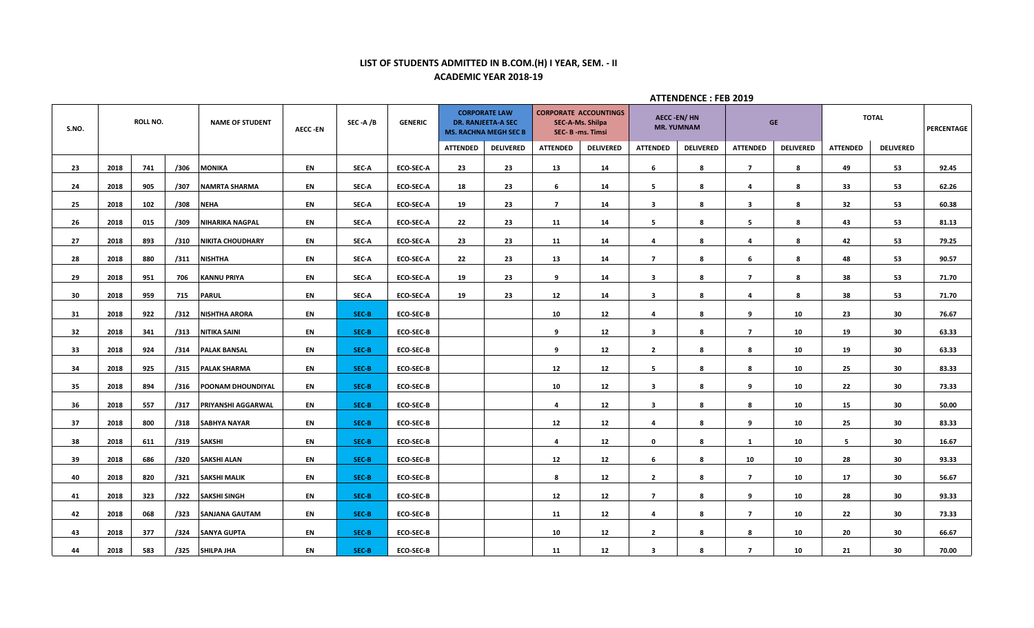## **LIST OF STUDENTS ADMITTED IN B.COM.(H) I YEAR, SEM. - II ACADEMIC YEAR 2018-19**

|       | <b>ROLL NO.</b><br><b>NAME OF STUDENT</b> |     |      |                         |                |         |                  |                 |                                                                                   |                 |                                                                     |                                        | <b>ATTENDENCE: FEB 2019</b> |                         |                  |                 |                  |            |
|-------|-------------------------------------------|-----|------|-------------------------|----------------|---------|------------------|-----------------|-----------------------------------------------------------------------------------|-----------------|---------------------------------------------------------------------|----------------------------------------|-----------------------------|-------------------------|------------------|-----------------|------------------|------------|
| S.NO. |                                           |     |      |                         | <b>AECC-EN</b> | SEC-A/B | <b>GENERIC</b>   |                 | <b>CORPORATE LAW</b><br><b>DR. RANJEETA-A SEC</b><br><b>MS. RACHNA MEGH SEC B</b> |                 | <b>CORPORATE ACCOUNTINGS</b><br>SEC-A-Ms. Shilpa<br>SEC-B-ms. Timsi | <b>AECC-EN/HN</b><br><b>MR. YUMNAM</b> |                             |                         | <b>GE</b>        |                 | <b>TOTAL</b>     | PERCENTAGE |
|       |                                           |     |      |                         |                |         |                  | <b>ATTENDED</b> | <b>DELIVERED</b>                                                                  | <b>ATTENDED</b> | <b>DELIVERED</b>                                                    | <b>ATTENDED</b>                        | <b>DELIVERED</b>            | <b>ATTENDED</b>         | <b>DELIVERED</b> | <b>ATTENDED</b> | <b>DELIVERED</b> |            |
| 23    | 2018                                      | 741 | /306 | <b>MONIKA</b>           | EN             | SEC-A   | <b>ECO-SEC-A</b> | 23              | 23                                                                                | 13              | 14                                                                  | 6                                      | -8                          | $\overline{7}$          | 8                | 49              | 53               | 92.45      |
| 24    | 2018                                      | 905 | /307 | <b>NAMRTA SHARMA</b>    | EN             | SEC-A   | <b>ECO-SEC-A</b> | 18              | 23                                                                                | 6               | 14                                                                  | 5                                      | 8                           | 4                       | 8                | 33              | 53               | 62.26      |
| 25    | 2018                                      | 102 | /308 | <b>NEHA</b>             | EN             | SEC-A   | <b>ECO-SEC-A</b> | 19              | 23                                                                                | $\overline{7}$  | 14                                                                  | $\overline{\mathbf{3}}$                | 8                           | $\overline{\mathbf{3}}$ | 8                | 32              | 53               | 60.38      |
| 26    | 2018                                      | 015 | /309 | <b>NIHARIKA NAGPAL</b>  | EN             | SEC-A   | <b>ECO-SEC-A</b> | 22              | 23                                                                                | 11              | 14                                                                  | 5                                      | 8                           | 5                       | 8                | 43              | 53               | 81.13      |
| 27    | 2018                                      | 893 | /310 | <b>NIKITA CHOUDHARY</b> | EN             | SEC-A   | <b>ECO-SEC-A</b> | 23              | 23                                                                                | 11              | 14                                                                  | 4                                      | 8                           | $\overline{a}$          | 8                | 42              | 53               | 79.25      |
| 28    | 2018                                      | 880 | /311 | <b>NISHTHA</b>          | EN             | SEC-A   | <b>ECO-SEC-A</b> | 22              | 23                                                                                | 13              | 14                                                                  | $\overline{7}$                         | 8                           | 6                       | 8                | 48              | 53               | 90.57      |
| 29    | 2018                                      | 951 | 706  | <b>KANNU PRIYA</b>      | EN             | SEC-A   | <b>ECO-SEC-A</b> | 19              | 23                                                                                | 9               | 14                                                                  | $\mathbf{3}$                           | 8                           | $\overline{7}$          | 8                | 38              | 53               | 71.70      |
| 30    | 2018                                      | 959 | 715  | <b>PARUL</b>            | EN             | SEC-A   | <b>ECO-SEC-A</b> | 19              | 23                                                                                | 12              | 14                                                                  | $\mathbf{3}$                           | 8                           | 4                       | 8                | 38              | 53               | 71.70      |
| 31    | 2018                                      | 922 | /312 | NISHTHA ARORA           | EN             | SEC-B   | <b>ECO-SEC-B</b> |                 |                                                                                   | 10              | 12                                                                  | 4                                      | 8                           | 9                       | 10               | 23              | 30               | 76.67      |
| 32    | 2018                                      | 341 | /313 | NITIKA SAINI            | EN             | SEC-B   | <b>ECO-SEC-B</b> |                 |                                                                                   | 9               | 12                                                                  | $\overline{\mathbf{3}}$                | 8                           | $\overline{7}$          | 10               | 19              | 30               | 63.33      |
| 33    | 2018                                      | 924 | /314 | <b>PALAK BANSAL</b>     | EN             | SEC-B   | <b>ECO-SEC-B</b> |                 |                                                                                   | 9               | 12                                                                  | $\overline{2}$                         | 8                           | 8                       | 10               | 19              | 30               | 63.33      |
| 34    | 2018                                      | 925 | /315 | <b>PALAK SHARMA</b>     | EN             | SEC-B   | <b>ECO-SEC-B</b> |                 |                                                                                   | 12              | 12                                                                  | 5                                      | 8                           | 8                       | 10               | 25              | 30               | 83.33      |
| 35    | 2018                                      | 894 | /316 | POONAM DHOUNDIYAL       | EN             | SEC-B   | <b>ECO-SEC-B</b> |                 |                                                                                   | 10              | 12                                                                  | $\mathbf{3}$                           | 8                           | 9                       | 10               | 22              | 30               | 73.33      |
| 36    | 2018                                      | 557 | /317 | PRIYANSHI AGGARWAL      | EN             | SEC-B   | <b>ECO-SEC-B</b> |                 |                                                                                   | 4               | 12                                                                  | $\overline{\mathbf{3}}$                | 8                           | 8                       | 10               | 15              | 30               | 50.00      |
| 37    | 2018                                      | 800 | /318 | <b>SABHYA NAYAR</b>     | EN             | SEC-B   | <b>ECO-SEC-B</b> |                 |                                                                                   | 12              | 12                                                                  | 4                                      | 8                           | 9                       | 10               | 25              | 30               | 83.33      |
| 38    | 2018                                      | 611 | /319 | <b>SAKSHI</b>           | EN             | SEC-B   | <b>ECO-SEC-B</b> |                 |                                                                                   | $\overline{a}$  | 12                                                                  | $\mathbf 0$                            | 8                           | 1                       | 10               | 5               | 30               | 16.67      |
| 39    | 2018                                      | 686 | /320 | <b>SAKSHI ALAN</b>      | EN             | SEC-B   | <b>ECO-SEC-B</b> |                 |                                                                                   | 12              | 12                                                                  | 6                                      | 8                           | 10                      | 10               | 28              | 30               | 93.33      |
| 40    | 2018                                      | 820 | /321 | <b>SAKSHI MALIK</b>     | EN             | SEC-B   | <b>ECO-SEC-B</b> |                 |                                                                                   | 8               | 12                                                                  | $\overline{2}$                         | 8                           | $\overline{7}$          | 10               | 17              | 30               | 56.67      |
| 41    | 2018                                      | 323 | /322 | <b>SAKSHI SINGH</b>     | EN             | SEC-B   | <b>ECO-SEC-B</b> |                 |                                                                                   | 12              | 12                                                                  | $\overline{7}$                         | 8                           | 9                       | 10               | 28              | 30               | 93.33      |
| 42    | 2018                                      | 068 | /323 | <b>SANJANA GAUTAM</b>   | EN             | SEC-B   | <b>ECO-SEC-B</b> |                 |                                                                                   | 11              | 12                                                                  | $\overline{a}$                         | 8                           | $\overline{7}$          | 10               | 22              | 30               | 73.33      |
| 43    | 2018                                      | 377 | /324 | <b>SANYA GUPTA</b>      | EN             | SEC-B   | <b>ECO-SEC-B</b> |                 |                                                                                   | 10              | 12                                                                  | $\overline{2}$                         | 8                           | 8                       | 10               | 20              | 30               | 66.67      |
| 44    | 2018                                      | 583 | /325 | <b>SHILPA JHA</b>       | EN             | SEC-B   | <b>ECO-SEC-B</b> |                 |                                                                                   | 11              | 12                                                                  | $\overline{\mathbf{3}}$                | 8                           | $\overline{7}$          | 10               | 21              | 30               | 70.00      |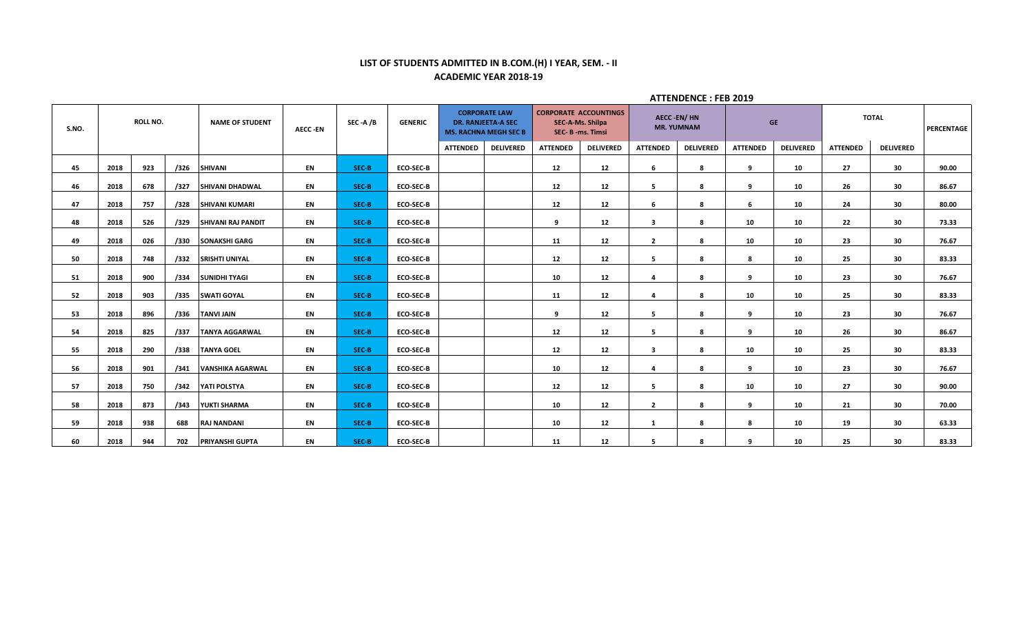## **LIST OF STUDENTS ADMITTED IN B.COM.(H) I YEAR, SEM. - II ACADEMIC YEAR 2018-19**

|       |      |                 |      |                           |                |         |                  |                 |                                                                                   |                 |                                                                     |                         | л і і січренчас і і со 2019            |                 |                  |                 |                  |                   |
|-------|------|-----------------|------|---------------------------|----------------|---------|------------------|-----------------|-----------------------------------------------------------------------------------|-----------------|---------------------------------------------------------------------|-------------------------|----------------------------------------|-----------------|------------------|-----------------|------------------|-------------------|
| S.NO. |      | <b>ROLL NO.</b> |      | <b>NAME OF STUDENT</b>    | <b>AECC-EN</b> | SEC-A/B | <b>GENERIC</b>   |                 | <b>CORPORATE LAW</b><br><b>DR. RANJEETA-A SEC</b><br><b>MS. RACHNA MEGH SEC B</b> |                 | <b>CORPORATE ACCOUNTINGS</b><br>SEC-A-Ms. Shilpa<br>SEC-B-ms. Timsi |                         | <b>AECC-EN/HN</b><br><b>MR. YUMNAM</b> |                 | <b>GE</b>        |                 | <b>TOTAL</b>     | <b>PERCENTAGE</b> |
|       |      |                 |      |                           |                |         |                  | <b>ATTENDED</b> | <b>DELIVERED</b>                                                                  | <b>ATTENDED</b> | <b>DELIVERED</b>                                                    | <b>ATTENDED</b>         | <b>DELIVERED</b>                       | <b>ATTENDED</b> | <b>DELIVERED</b> | <b>ATTENDED</b> | <b>DELIVERED</b> |                   |
| 45    | 2018 | 923             | /326 | <b>SHIVANI</b>            | EN             | SEC-B   | <b>ECO-SEC-B</b> |                 |                                                                                   | 12              | 12                                                                  | 6                       | 8                                      | 9               | 10               | 27              | 30               | 90.00             |
| 46    | 2018 | 678             | /327 | <b>SHIVANI DHADWAL</b>    | EN             | SEC-B   | <b>ECO-SEC-B</b> |                 |                                                                                   | 12              | 12                                                                  | 5                       | 8                                      | 9               | 10               | 26              | 30               | 86.67             |
| 47    | 2018 | 757             | /328 | <b>SHIVANI KUMARI</b>     | EN             | SEC-B   | <b>ECO-SEC-B</b> |                 |                                                                                   | 12              | 12                                                                  | 6                       | 8                                      | 6               | 10               | 24              | 30               | 80.00             |
| 48    | 2018 | 526             | /329 | <b>SHIVANI RAJ PANDIT</b> | EN             | SEC-B   | <b>ECO-SEC-B</b> |                 |                                                                                   | 9               | 12                                                                  | $\mathbf{3}$            | 8                                      | 10              | 10               | 22              | 30               | 73.33             |
| 49    | 2018 | 026             | /330 | <b>SONAKSHI GARG</b>      | EN             | SEC-B   | <b>ECO-SEC-B</b> |                 |                                                                                   | 11              | 12                                                                  | $\overline{2}$          | 8                                      | 10              | 10               | 23              | 30               | 76.67             |
| 50    | 2018 | 748             | /332 | <b>SRISHTI UNIYAL</b>     | EN             | SEC-B   | <b>ECO-SEC-B</b> |                 |                                                                                   | 12              | 12                                                                  | 5                       | 8                                      | 8               | 10               | 25              | 30               | 83.33             |
| 51    | 2018 | 900             | /334 | <b>SUNIDHI TYAGI</b>      | EN             | SEC-B   | <b>ECO-SEC-B</b> |                 |                                                                                   | 10              | 12                                                                  | 4                       | 8                                      | 9               | 10               | 23              | 30               | 76.67             |
| 52    | 2018 | 903             | /335 | <b>SWATI GOYAL</b>        | EN             | SEC-B   | <b>ECO-SEC-B</b> |                 |                                                                                   | 11              | 12                                                                  | 4                       | 8                                      | 10              | 10               | 25              | 30               | 83.33             |
| 53    | 2018 | 896             | /336 | <b>TANVI JAIN</b>         | EN             | SEC-B   | <b>ECO-SEC-B</b> |                 |                                                                                   | 9               | 12                                                                  | 5                       | 8                                      | $\mathbf{q}$    | 10               | 23              | 30               | 76.67             |
| 54    | 2018 | 825             | /337 | <b>TANYA AGGARWAL</b>     | EN             | SEC-B   | <b>ECO-SEC-B</b> |                 |                                                                                   | 12              | 12                                                                  | 5                       | -8                                     | 9               | 10               | 26              | 30               | 86.67             |
| 55    | 2018 | 290             | /338 | <b>TANYA GOEL</b>         | EN             | SEC-B   | <b>ECO-SEC-B</b> |                 |                                                                                   | 12              | 12                                                                  | 3                       | 8                                      | 10              | 10               | 25              | 30               | 83.33             |
| 56    | 2018 | 901             | /341 | <b>VANSHIKA AGARWAL</b>   | EN             | SEC-B   | <b>ECO-SEC-B</b> |                 |                                                                                   | 10              | 12                                                                  | $\overline{\mathbf{a}}$ | 8                                      | $\mathbf{q}$    | 10               | 23              | 30               | 76.67             |
| 57    | 2018 | 750             | /342 | YATI POLSTYA              | EN             | SEC-B   | <b>ECO-SEC-B</b> |                 |                                                                                   | 12              | 12                                                                  | 5                       | 8                                      | 10              | 10               | 27              | 30               | 90.00             |
| 58    | 2018 | 873             | /343 | YUKTI SHARMA              | EN             | SEC-B   | <b>ECO-SEC-B</b> |                 |                                                                                   | 10              | 12                                                                  | $\overline{2}$          | 8                                      | 9               | 10               | 21              | 30               | 70.00             |
| 59    | 2018 | 938             | 688  | <b>RAJ NANDANI</b>        | EN             | SEC-B   | <b>ECO-SEC-B</b> |                 |                                                                                   | 10              | 12                                                                  | $\mathbf{1}$            | 8                                      | 8               | 10               | 19              | 30               | 63.33             |
| 60    | 2018 | 944             | 702  | <b>PRIYANSHI GUPTA</b>    | EN             | SEC-B   | <b>ECO-SEC-B</b> |                 |                                                                                   | 11              | 12                                                                  | 5.                      | 8                                      | 9               | 10               | 25              | 30               | 83.33             |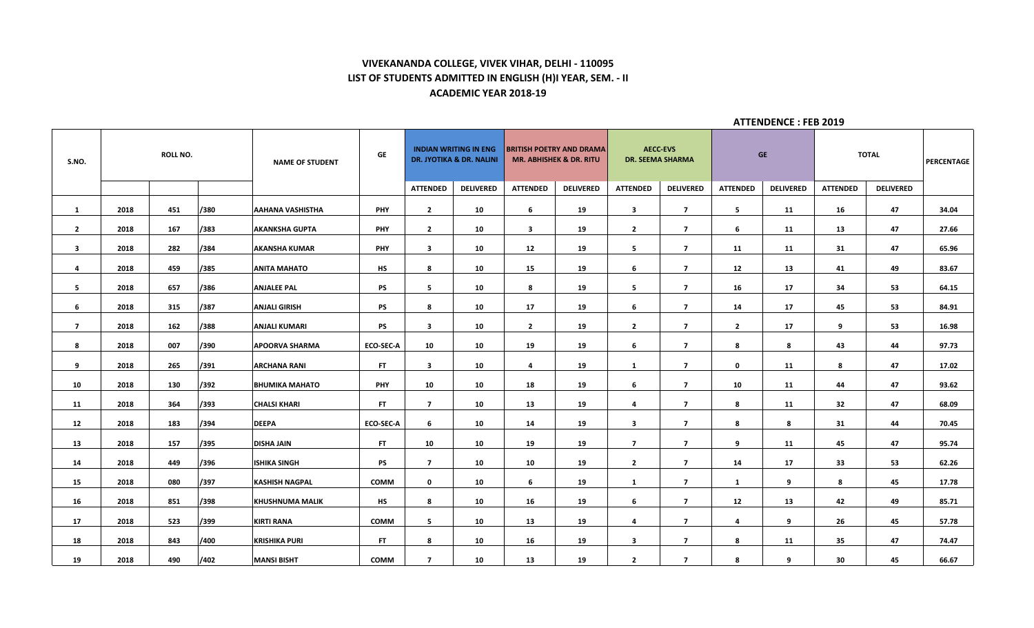# **VIVEKANANDA COLLEGE, VIVEK VIHAR, DELHI - 110095 LIST OF STUDENTS ADMITTED IN ENGLISH (H)I YEAR, SEM. - II ACADEMIC YEAR 2018-19**

| S.NO.                   |      | <b>ROLL NO.</b> |      | <b>NAME OF STUDENT</b>  | GE               |                          | <b>INDIAN WRITING IN ENG</b><br><b>DR. JYOTIKA &amp; DR. NALINI</b> |                         | <b>BRITISH POETRY AND DRAMA</b><br><b>MR. ABHISHEK &amp; DR. RITU</b> |                         | <b>AECC-EVS</b><br><b>DR. SEEMA SHARMA</b> | GE              |                  |                 | <b>TOTAL</b>     | PERCENTAGE |
|-------------------------|------|-----------------|------|-------------------------|------------------|--------------------------|---------------------------------------------------------------------|-------------------------|-----------------------------------------------------------------------|-------------------------|--------------------------------------------|-----------------|------------------|-----------------|------------------|------------|
|                         |      |                 |      |                         |                  | <b>ATTENDED</b>          | <b>DELIVERED</b>                                                    | <b>ATTENDED</b>         | <b>DELIVERED</b>                                                      | <b>ATTENDED</b>         | <b>DELIVERED</b>                           | <b>ATTENDED</b> | <b>DELIVERED</b> | <b>ATTENDED</b> | <b>DELIVERED</b> |            |
| $\mathbf{1}$            | 2018 | 451             | /380 | <b>AAHANA VASHISTHA</b> | PHY              | $\overline{2}$           | 10                                                                  | 6                       | 19                                                                    | $\mathbf{3}$            | $\overline{7}$                             | 5               | 11               | 16              | 47               | 34.04      |
| $\overline{2}$          | 2018 | 167             | /383 | <b>AKANKSHA GUPTA</b>   | PHY              | $\mathbf{2}$             | 10                                                                  | $\overline{\mathbf{3}}$ | 19                                                                    | $\overline{2}$          | $\overline{ }$                             | 6               | 11               | 13              | 47               | 27.66      |
| $\overline{\mathbf{3}}$ | 2018 | 282             | /384 | <b>AKANSHA KUMAR</b>    | <b>PHY</b>       | $\overline{\mathbf{3}}$  | 10                                                                  | 12                      | 19                                                                    | 5                       | $\overline{ }$                             | 11              | 11               | 31              | 47               | 65.96      |
| 4                       | 2018 | 459             | /385 | <b>ANITA MAHATO</b>     | <b>HS</b>        | 8                        | 10                                                                  | 15                      | 19                                                                    | 6                       | $\overline{7}$                             | 12              | 13               | 41              | 49               | 83.67      |
| 5                       | 2018 | 657             | /386 | <b>ANJALEE PAL</b>      | <b>PS</b>        | 5                        | 10                                                                  | 8                       | 19                                                                    | 5                       | $\overline{7}$                             | 16              | 17               | 34              | 53               | 64.15      |
| 6                       | 2018 | 315             | /387 | <b>ANJALI GIRISH</b>    | PS               | 8                        | 10                                                                  | 17                      | 19                                                                    | 6                       | $\overline{ }$                             | 14              | 17               | 45              | 53               | 84.91      |
| $\overline{ }$          | 2018 | 162             | /388 | <b>ANJALI KUMARI</b>    | <b>PS</b>        | $\mathbf{3}$             | 10                                                                  | $\overline{2}$          | 19                                                                    | $\mathbf{2}$            | $\overline{7}$                             | $\overline{2}$  | 17               | 9               | 53               | 16.98      |
| 8                       | 2018 | 007             | /390 | <b>APOORVA SHARMA</b>   | ECO-SEC-A        | 10                       | 10                                                                  | 19                      | 19                                                                    | 6                       | $\overline{7}$                             | 8               | 8                | 43              | 44               | 97.73      |
| 9                       | 2018 | 265             | /391 | <b>ARCHANA RANI</b>     | FT.              | $\overline{\mathbf{3}}$  | 10                                                                  | 4                       | 19                                                                    | $\mathbf{1}$            | $\overline{ }$                             | 0               | 11               | 8               | 47               | 17.02      |
| 10                      | 2018 | 130             | /392 | <b>BHUMIKA MAHATO</b>   | PHY              | 10                       | 10                                                                  | 18                      | 19                                                                    | 6                       | $\overline{7}$                             | 10              | 11               | 44              | 47               | 93.62      |
| 11                      | 2018 | 364             | /393 | <b>CHALSI KHARI</b>     | <b>FT</b>        | $\overline{7}$           | 10                                                                  | 13                      | 19                                                                    | $\overline{4}$          | $\overline{7}$                             | 8               | 11               | 32              | 47               | 68.09      |
| 12                      | 2018 | 183             | /394 | <b>DEEPA</b>            | <b>ECO-SEC-A</b> | 6                        | 10                                                                  | 14                      | 19                                                                    | $\mathbf{3}$            | $\overline{7}$                             | 8               | 8                | 31              | 44               | 70.45      |
| 13                      | 2018 | 157             | /395 | <b>DISHA JAIN</b>       | FT.              | 10                       | 10                                                                  | 19                      | 19                                                                    | $\overline{7}$          | $\overline{7}$                             | 9               | 11               | 45              | 47               | 95.74      |
| 14                      | 2018 | 449             | /396 | <b>ISHIKA SINGH</b>     | <b>PS</b>        | $\overline{\phantom{a}}$ | 10                                                                  | 10                      | 19                                                                    | $\overline{2}$          | $\overline{ }$                             | 14              | 17               | 33              | 53               | 62.26      |
| 15                      | 2018 | 080             | /397 | <b>KASHISH NAGPAL</b>   | <b>COMM</b>      | $\mathbf 0$              | 10                                                                  | 6                       | 19                                                                    | 1                       | $\overline{ }$                             | $\mathbf{1}$    | 9                | 8               | 45               | 17.78      |
| 16                      | 2018 | 851             | /398 | <b>KHUSHNUMA MALIK</b>  | <b>HS</b>        | 8                        | 10                                                                  | 16                      | 19                                                                    | 6                       | $\overline{7}$                             | 12              | 13               | 42              | 49               | 85.71      |
| 17                      | 2018 | 523             | /399 | <b>KIRTI RANA</b>       | COMM             | 5                        | 10                                                                  | 13                      | 19                                                                    | 4                       | $\overline{ }$                             | 4               | 9                | 26              | 45               | 57.78      |
| 18                      | 2018 | 843             | /400 | <b>KRISHIKA PURI</b>    | <b>FT</b>        | 8                        | 10                                                                  | 16                      | 19                                                                    | $\overline{\mathbf{3}}$ | $\overline{7}$                             | 8               | 11               | 35              | 47               | 74.47      |
| 19                      | 2018 | 490             | /402 | <b>MANSI BISHT</b>      | COMM             | $\overline{7}$           | 10                                                                  | 13                      | 19                                                                    | $\overline{2}$          | $\overline{7}$                             | 8               | 9                | 30              | 45               | 66.67      |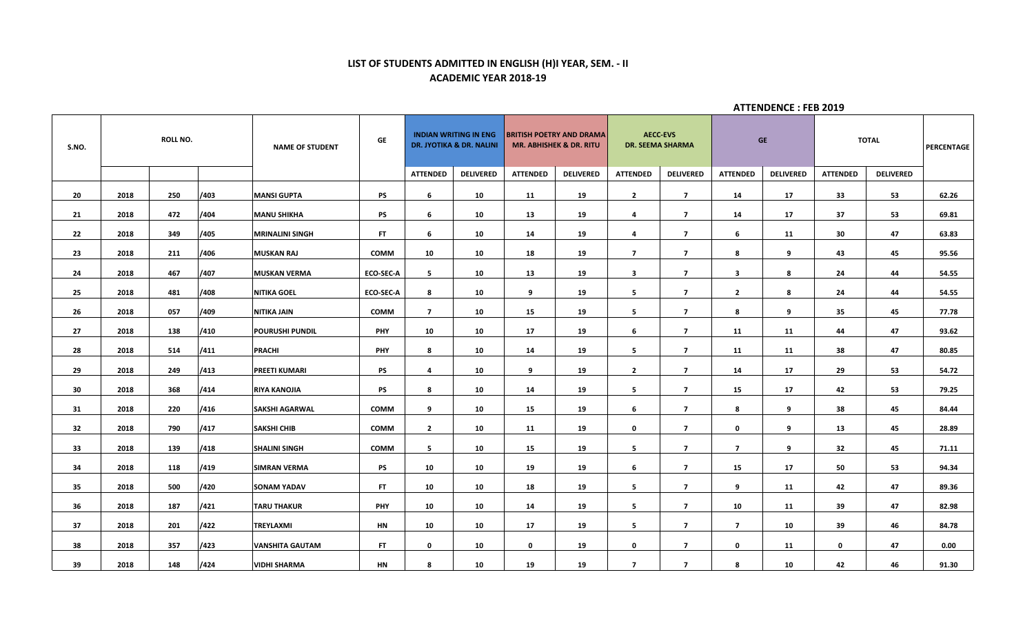# **LIST OF STUDENTS ADMITTED IN ENGLISH (H)I YEAR, SEM. - II ACADEMIC YEAR 2018-19**

| S.NO. |      | <b>ROLL NO.</b> |      | <b>NAME OF STUDENT</b> | GE               |                 | <b>INDIAN WRITING IN ENG</b><br><b>DR. JYOTIKA &amp; DR. NALINI</b> | <b>BRITISH POETRY AND DRAMA</b> | <b>MR. ABHISHEK &amp; DR. RITU</b> |                         | <b>AECC-EVS</b><br><b>DR. SEEMA SHARMA</b> |                 | <b>GE</b>        |                 | <b>TOTAL</b>     | PERCENTAGE |
|-------|------|-----------------|------|------------------------|------------------|-----------------|---------------------------------------------------------------------|---------------------------------|------------------------------------|-------------------------|--------------------------------------------|-----------------|------------------|-----------------|------------------|------------|
|       |      |                 |      |                        |                  | <b>ATTENDED</b> | <b>DELIVERED</b>                                                    | <b>ATTENDED</b>                 | <b>DELIVERED</b>                   | <b>ATTENDED</b>         | <b>DELIVERED</b>                           | <b>ATTENDED</b> | <b>DELIVERED</b> | <b>ATTENDED</b> | <b>DELIVERED</b> |            |
| 20    | 2018 | 250             | /403 | <b>MANSI GUPTA</b>     | <b>PS</b>        | 6               | 10                                                                  | 11                              | 19                                 | $\overline{2}$          | $\overline{7}$                             | 14              | 17               | 33              | 53               | 62.26      |
| 21    | 2018 | 472             | /404 | <b>MANU SHIKHA</b>     | <b>PS</b>        | 6               | 10                                                                  | 13                              | 19                                 | 4                       | $\overline{7}$                             | 14              | 17               | 37              | 53               | 69.81      |
| 22    | 2018 | 349             | /405 | <b>MRINALINI SINGH</b> | FT.              | 6               | 10                                                                  | 14                              | 19                                 | 4                       | $\overline{7}$                             | 6               | 11               | 30              | 47               | 63.83      |
| 23    | 2018 | 211             | /406 | <b>MUSKAN RAJ</b>      | <b>COMM</b>      | 10              | 10                                                                  | 18                              | 19                                 | $\overline{7}$          | $\overline{7}$                             | 8               | 9                | 43              | 45               | 95.56      |
| 24    | 2018 | 467             | /407 | <b>MUSKAN VERMA</b>    | <b>ECO-SEC-A</b> | $5^{\circ}$     | 10                                                                  | 13                              | 19                                 | $\overline{\mathbf{3}}$ | $\overline{7}$                             | $\mathbf{3}$    | 8                | 24              | 44               | 54.55      |
| 25    | 2018 | 481             | /408 | <b>NITIKA GOEL</b>     | <b>ECO-SEC-A</b> | 8               | 10                                                                  | 9                               | 19                                 | 5                       | $\overline{7}$                             | $\overline{2}$  | 8                | 24              | 44               | 54.55      |
| 26    | 2018 | 057             | /409 | NITIKA JAIN            | <b>COMM</b>      | $\overline{7}$  | 10                                                                  | 15                              | 19                                 | 5                       | $\overline{7}$                             | 8               | 9                | 35              | 45               | 77.78      |
| 27    | 2018 | 138             | /410 | <b>POURUSHI PUNDIL</b> | <b>PHY</b>       | 10              | 10                                                                  | 17                              | 19                                 | 6                       | $\overline{7}$                             | 11              | 11               | 44              | 47               | 93.62      |
| 28    | 2018 | 514             | /411 | <b>PRACHI</b>          | <b>PHY</b>       | 8               | 10                                                                  | 14                              | 19                                 | 5                       | $\overline{7}$                             | 11              | 11               | 38              | 47               | 80.85      |
| 29    | 2018 | 249             | /413 | <b>PREETI KUMARI</b>   | <b>PS</b>        | $\overline{4}$  | 10                                                                  | 9                               | 19                                 | $\overline{2}$          | $\overline{7}$                             | 14              | 17               | 29              | 53               | 54.72      |
| 30    | 2018 | 368             | /414 | <b>RIYA KANOJIA</b>    | PS               | 8               | 10                                                                  | 14                              | 19                                 | - 5                     | $\overline{7}$                             | 15              | 17               | 42              | 53               | 79.25      |
| 31    | 2018 | 220             | /416 | <b>SAKSHI AGARWAL</b>  | <b>COMM</b>      | 9               | 10                                                                  | 15                              | 19                                 | 6                       | $\overline{7}$                             | 8               | 9                | 38              | 45               | 84.44      |
| 32    | 2018 | 790             | /417 | <b>SAKSHI CHIB</b>     | <b>COMM</b>      | $\overline{2}$  | 10                                                                  | 11                              | 19                                 | $\mathbf 0$             | $\overline{7}$                             | $\mathbf 0$     | 9                | 13              | 45               | 28.89      |
| 33    | 2018 | 139             | /418 | <b>SHALINI SINGH</b>   | <b>COMM</b>      | $5^{\circ}$     | 10                                                                  | 15                              | 19                                 | 5                       | $\overline{7}$                             | $\overline{ }$  | 9                | 32              | 45               | 71.11      |
| 34    | 2018 | 118             | /419 | <b>SIMRAN VERMA</b>    | <b>PS</b>        | 10              | 10                                                                  | 19                              | 19                                 | 6                       | $\overline{ }$                             | 15              | 17               | 50              | 53               | 94.34      |
| 35    | 2018 | 500             | /420 | <b>SONAM YADAV</b>     | FT.              | 10              | 10                                                                  | 18                              | 19                                 | 5                       | $\overline{7}$                             | 9               | 11               | 42              | 47               | 89.36      |
| 36    | 2018 | 187             | /421 | <b>TARU THAKUR</b>     | PHY              | 10              | 10                                                                  | 14                              | 19                                 | 5                       | $\overline{7}$                             | 10              | 11               | 39              | 47               | 82.98      |
| 37    | 2018 | 201             | /422 | <b>TREYLAXMI</b>       | HN               | 10              | 10                                                                  | 17                              | 19                                 | 5                       | $\overline{ }$                             | $\overline{ }$  | 10               | 39              | 46               | 84.78      |
| 38    | 2018 | 357             | /423 | <b>VANSHITA GAUTAM</b> | FT.              | $\mathbf 0$     | 10                                                                  | $\mathbf 0$                     | 19                                 | $\mathbf 0$             | $\overline{7}$                             | $\mathbf 0$     | 11               | $\mathbf 0$     | 47               | 0.00       |
| 39    | 2018 | 148             | /424 | <b>VIDHI SHARMA</b>    | HN               | 8               | 10                                                                  | 19                              | 19                                 | $\overline{7}$          | $\overline{\mathbf{z}}$                    | 8               | 10               | 42              | 46               | 91.30      |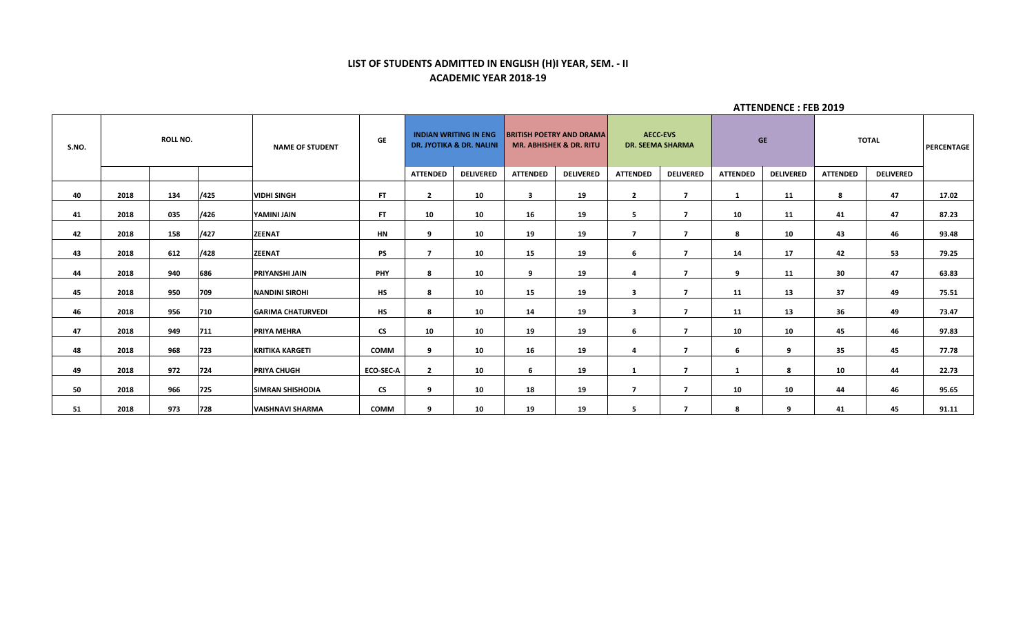# **LIST OF STUDENTS ADMITTED IN ENGLISH (H)I YEAR, SEM. - II ACADEMIC YEAR 2018-19**

| S.NO. |      | <b>ROLL NO.</b> |      | <b>NAME OF STUDENT</b>   | GF                       |                 | <b>INDIAN WRITING IN ENG</b><br><b>DR. JYOTIKA &amp; DR. NALINI</b> |                 | <b>BRITISH POETRY AND DRAMA</b><br><b>MR. ABHISHEK &amp; DR. RITU</b> | <b>DR. SEEMA SHARMA</b>  | <b>AECC-EVS</b>         | <b>GE</b>       |                  |                 | <b>TOTAL</b>     | PERCENTAGE |
|-------|------|-----------------|------|--------------------------|--------------------------|-----------------|---------------------------------------------------------------------|-----------------|-----------------------------------------------------------------------|--------------------------|-------------------------|-----------------|------------------|-----------------|------------------|------------|
|       |      |                 |      |                          |                          | <b>ATTENDED</b> | <b>DELIVERED</b>                                                    | <b>ATTENDED</b> | <b>DELIVERED</b>                                                      | <b>ATTENDED</b>          | <b>DELIVERED</b>        | <b>ATTENDED</b> | <b>DELIVERED</b> | <b>ATTENDED</b> | <b>DELIVERED</b> |            |
| 40    | 2018 | 134             | /425 | <b>VIDHI SINGH</b>       | FT.                      | $\overline{2}$  | 10                                                                  | 3               | 19                                                                    | $\overline{2}$           | 7                       | -1              | 11               | 8               | 47               | 17.02      |
| 41    | 2018 | 035             | /426 | YAMINI JAIN              | FT.                      | 10              | 10                                                                  | 16              | 19                                                                    | 5                        | 7                       | 10              | 11               | 41              | 47               | 87.23      |
| 42    | 2018 | 158             | /427 | <b>ZEENAT</b>            | HN                       | $\mathbf{q}$    | 10                                                                  | 19              | 19                                                                    | $\overline{\phantom{a}}$ | 7                       | 8               | 10               | 43              | 46               | 93.48      |
| 43    | 2018 | 612             | /428 | <b>ZEENAT</b>            | <b>PS</b>                | 7               | 10                                                                  | 15              | 19                                                                    | 6                        | $\overline{ }$          | 14              | 17               | 42              | 53               | 79.25      |
| 44    | 2018 | 940             | 686  | <b>PRIYANSHI JAIN</b>    | PHY                      | 8               | 10                                                                  | 9               | 19                                                                    | 4                        | $\overline{\mathbf{z}}$ | 9               | 11               | 30              | 47               | 63.83      |
| 45    | 2018 | 950             | 709  | <b>NANDINI SIROHI</b>    | <b>HS</b>                | 8               | 10                                                                  | 15              | 19                                                                    | $\overline{\mathbf{3}}$  | $\mathbf{7}$            | 11              | 13               | 37              | 49               | 75.51      |
| 46    | 2018 | 956             | 710  | <b>GARIMA CHATURVEDI</b> | <b>HS</b>                | 8               | 10                                                                  | 14              | 19                                                                    | -3                       | 7                       | 11              | 13               | 36              | 49               | 73.47      |
| 47    | 2018 | 949             | 711  | <b>PRIYA MEHRA</b>       | <b>CS</b>                | 10              | 10                                                                  | 19              | 19                                                                    | 6                        | 7                       | 10              | 10               | 45              | 46               | 97.83      |
| 48    | 2018 | 968             | 723  | <b>KRITIKA KARGETI</b>   | <b>COMM</b>              | 9               | 10                                                                  | 16              | 19                                                                    | 4                        | 7                       | 6               | 9                | 35              | 45               | 77.78      |
| 49    | 2018 | 972             | 724  | <b>PRIYA CHUGH</b>       | <b>ECO-SEC-A</b>         | $\overline{2}$  | 10                                                                  | 6               | 19                                                                    | 1                        | 7                       |                 | 8                | 10              | 44               | 22.73      |
|       |      |                 |      |                          |                          |                 |                                                                     |                 |                                                                       |                          |                         |                 |                  |                 |                  |            |
| 50    | 2018 | 966             | 725  | <b>SIMRAN SHISHODIA</b>  | $\mathsf{CS}\phantom{0}$ | 9               | 10                                                                  | 18              | 19                                                                    | $\overline{ }$           | $\overline{ }$          | 10              | 10               | 44              | 46               | 95.65      |
| 51    | 2018 | 973             | 728  | <b>VAISHNAVI SHARMA</b>  | <b>COMM</b>              | -9              | 10                                                                  | 19              | 19                                                                    | 5                        | 7                       | 8               | 9                | 41              | 45               | 91.11      |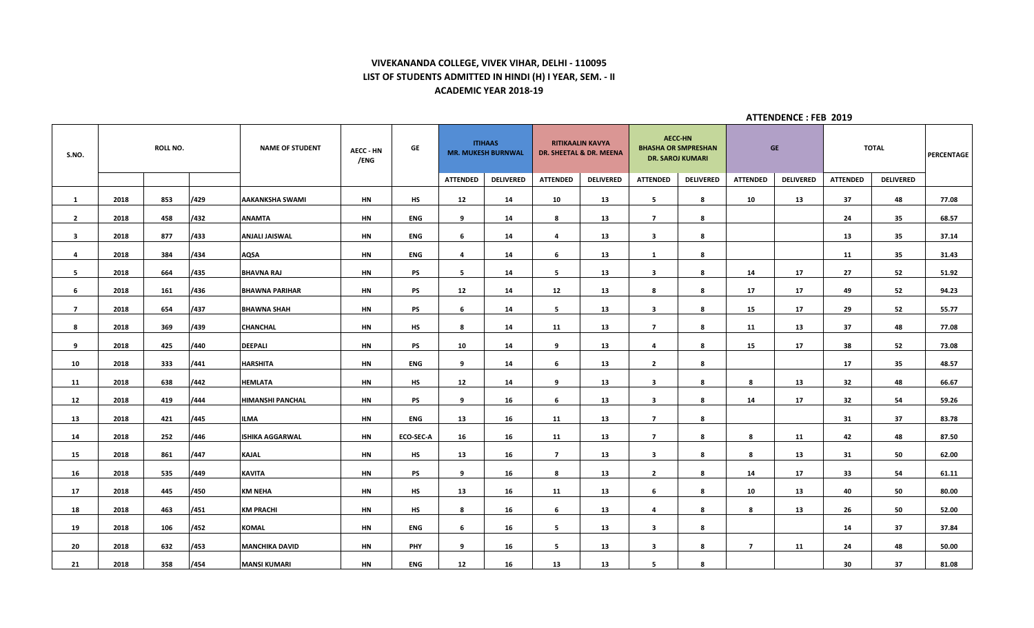## **VIVEKANANDA COLLEGE, VIVEK VIHAR, DELHI - 110095 LIST OF STUDENTS ADMITTED IN HINDI (H) I YEAR, SEM. - II ACADEMIC YEAR 2018-19**

| S.NO.          |      | <b>ROLL NO.</b> |      | <b>NAME OF STUDENT</b> | <b>AECC - HN</b><br>/ENG | GE               |                 | <b>ITIHAAS</b><br><b>MR. MUKESH BURNWAL</b> |                 | <b>RITIKAALIN KAVYA</b><br>DR. SHEETAL & DR. MEENA | <b>AECC-HN</b>          | <b>BHASHA OR SMPRESHAN</b><br><b>DR. SAROJ KUMARI</b> |                 | <b>GE</b>        |                 | <b>TOTAL</b>     | PERCENTAGE |
|----------------|------|-----------------|------|------------------------|--------------------------|------------------|-----------------|---------------------------------------------|-----------------|----------------------------------------------------|-------------------------|-------------------------------------------------------|-----------------|------------------|-----------------|------------------|------------|
|                |      |                 |      |                        |                          |                  | <b>ATTENDED</b> | <b>DELIVERED</b>                            | <b>ATTENDED</b> | <b>DELIVERED</b>                                   | <b>ATTENDED</b>         | <b>DELIVERED</b>                                      | <b>ATTENDED</b> | <b>DELIVERED</b> | <b>ATTENDED</b> | <b>DELIVERED</b> |            |
| <b>1</b>       | 2018 | 853             | /429 | AAKANKSHA SWAMI        | HN                       | <b>HS</b>        | 12              | 14                                          | 10              | 13                                                 | 5                       | 8                                                     | 10              | 13               | 37              | 48               | 77.08      |
| $\overline{2}$ | 2018 | 458             | /432 | <b>ANAMTA</b>          | HN                       | <b>ENG</b>       | 9               | 14                                          | 8               | 13                                                 | $\overline{7}$          | 8                                                     |                 |                  | 24              | 35               | 68.57      |
| 3              | 2018 | 877             | /433 | ANJALI JAISWAL         | HN                       | ENG              | 6               | 14                                          | 4               | 13                                                 | $\mathbf{3}$            | 8                                                     |                 |                  | 13              | 35               | 37.14      |
| $\overline{4}$ | 2018 | 384             | /434 | AQSA                   | HN                       | <b>ENG</b>       | $\overline{4}$  | 14                                          | 6               | 13                                                 | $\mathbf{1}$            | 8                                                     |                 |                  | 11              | 35               | 31.43      |
| 5              | 2018 | 664             | /435 | <b>BHAVNA RAJ</b>      | HN                       | PS               | 5               | 14                                          | 5               | 13                                                 | $\overline{\mathbf{3}}$ | 8                                                     | 14              | 17               | 27              | 52               | 51.92      |
| 6              | 2018 | 161             | /436 | <b>BHAWNA PARIHAR</b>  | HN                       | <b>PS</b>        | 12              | 14                                          | 12              | 13                                                 | 8                       | 8                                                     | 17              | 17               | 49              | 52               | 94.23      |
| $\overline{7}$ | 2018 | 654             | /437 | <b>BHAWNA SHAH</b>     | HN                       | PS               | 6               | 14                                          | 5               | 13                                                 | $\overline{\mathbf{3}}$ | 8                                                     | 15              | 17               | 29              | 52               | 55.77      |
| 8              | 2018 | 369             | /439 | <b>CHANCHAL</b>        | HN                       | HS               | 8               | 14                                          | 11              | 13                                                 | $\overline{7}$          | 8                                                     | 11              | 13               | 37              | 48               | 77.08      |
| 9              | 2018 | 425             | /440 | <b>DEEPALI</b>         | HN                       | PS               | 10              | 14                                          | 9               | 13                                                 | $\overline{a}$          | 8                                                     | 15              | 17               | 38              | 52               | 73.08      |
| 10             | 2018 | 333             | /441 | <b>HARSHITA</b>        | HN                       | <b>ENG</b>       | 9               | 14                                          | 6               | 13                                                 | $\overline{2}$          | 8                                                     |                 |                  | 17              | 35               | 48.57      |
| 11             | 2018 | 638             | /442 | <b>HEMLATA</b>         | HN                       | <b>HS</b>        | 12              | 14                                          | 9               | 13                                                 | $\overline{\mathbf{3}}$ | 8                                                     | 8               | 13               | 32              | 48               | 66.67      |
| 12             | 2018 | 419             | /444 | HIMANSHI PANCHAL       | HN                       | <b>PS</b>        | 9               | 16                                          | 6               | 13                                                 | $\mathbf{3}$            | 8                                                     | 14              | 17               | 32              | 54               | 59.26      |
| 13             | 2018 | 421             | /445 | <b>ILMA</b>            | HN                       | <b>ENG</b>       | 13              | 16                                          | 11              | 13                                                 | $\overline{7}$          | 8                                                     |                 |                  | 31              | 37               | 83.78      |
| 14             | 2018 | 252             | /446 | <b>ISHIKA AGGARWAL</b> | HN                       | <b>ECO-SEC-A</b> | 16              | 16                                          | 11              | 13                                                 | $\overline{7}$          | 8                                                     | 8               | 11               | 42              | 48               | 87.50      |
| 15             | 2018 | 861             | /447 | <b>KAJAL</b>           | HN                       | HS               | 13              | 16                                          | $\overline{7}$  | 13                                                 | $\mathbf{3}$            | 8                                                     | 8               | 13               | 31              | 50               | 62.00      |
| 16             | 2018 | 535             | /449 | <b>KAVITA</b>          | HN                       | <b>PS</b>        | 9               | 16                                          | 8               | 13                                                 | $\overline{2}$          | 8                                                     | 14              | 17               | 33              | 54               | 61.11      |
| 17             | 2018 | 445             | /450 | <b>KM NEHA</b>         | HN                       | <b>HS</b>        | 13              | 16                                          | 11              | 13                                                 | 6                       | 8                                                     | 10              | 13               | 40              | 50               | 80.00      |
| 18             | 2018 | 463             | /451 | <b>KM PRACHI</b>       | HN                       | <b>HS</b>        | 8               | 16                                          | 6               | 13                                                 | 4                       | 8                                                     | 8               | 13               | 26              | 50               | 52.00      |
| 19             | 2018 | 106             | /452 | <b>KOMAL</b>           | HN                       | <b>ENG</b>       | 6               | 16                                          | 5               | 13                                                 | $\mathbf{3}$            | 8                                                     |                 |                  | 14              | 37               | 37.84      |
| 20             | 2018 | 632             | /453 | <b>MANCHIKA DAVID</b>  | HN                       | <b>PHY</b>       | 9               | 16                                          | 5               | 13                                                 | $\mathbf{3}$            | 8                                                     | $\overline{7}$  | 11               | 24              | 48               | 50.00      |
| 21             | 2018 | 358             | /454 | <b>MANSI KUMARI</b>    | HN                       | <b>ENG</b>       | 12              | 16                                          | 13              | 13                                                 | 5                       | 8                                                     |                 |                  | 30              | 37               | 81.08      |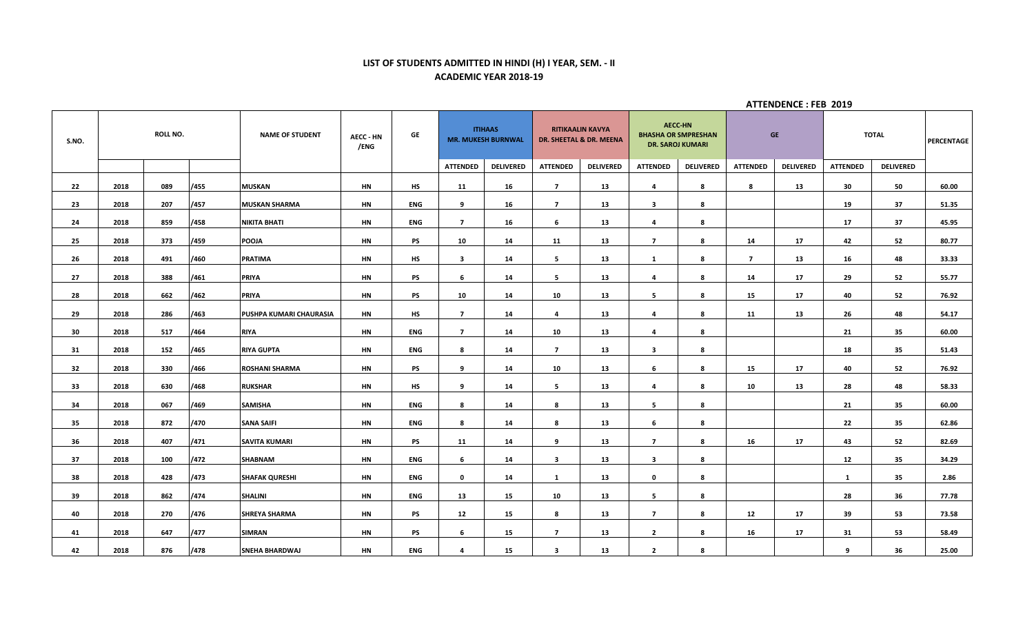## **LIST OF STUDENTS ADMITTED IN HINDI (H) I YEAR, SEM. - II ACADEMIC YEAR 2018-19**

| S.NO. |      | <b>ROLL NO.</b> |      | <b>NAME OF STUDENT</b>  | <b>AECC - HN</b><br>/ENG | GE         |                         | <b>ITIHAAS</b><br><b>MR. MUKESH BURNWAL</b> |                 | <b>RITIKAALIN KAVYA</b><br>DR. SHEETAL & DR. MEENA | <b>AECC-HN</b>          | <b>BHASHA OR SMPRESHAN</b><br><b>DR. SAROJ KUMARI</b> |                 | <b>GE</b>        |                 | <b>TOTAL</b>     | <b>PERCENTAGE</b> |
|-------|------|-----------------|------|-------------------------|--------------------------|------------|-------------------------|---------------------------------------------|-----------------|----------------------------------------------------|-------------------------|-------------------------------------------------------|-----------------|------------------|-----------------|------------------|-------------------|
|       |      |                 |      |                         |                          |            | <b>ATTENDED</b>         | <b>DELIVERED</b>                            | <b>ATTENDED</b> | <b>DELIVERED</b>                                   | <b>ATTENDED</b>         | <b>DELIVERED</b>                                      | <b>ATTENDED</b> | <b>DELIVERED</b> | <b>ATTENDED</b> | <b>DELIVERED</b> |                   |
| 22    | 2018 | 089             | /455 | <b>MUSKAN</b>           | HN                       | HS         | 11                      | 16                                          | $\overline{ }$  | 13                                                 | 4                       | 8                                                     | 8               | 13               | 30              | 50               | 60.00             |
| 23    | 2018 | 207             | /457 | <b>MUSKAN SHARMA</b>    | HN                       | ENG        | 9                       | 16                                          | $\overline{7}$  | 13                                                 | $\mathbf{3}$            | 8                                                     |                 |                  | 19              | 37               | 51.35             |
| 24    | 2018 | 859             | /458 | <b>NIKITA BHATI</b>     | HN                       | ENG        | $\overline{7}$          | 16                                          | 6               | 13                                                 | 4                       | 8                                                     |                 |                  | 17              | 37               | 45.95             |
| 25    | 2018 | 373             | /459 | <b>POOJA</b>            | HN                       | <b>PS</b>  | 10                      | 14                                          | 11              | 13                                                 | $\overline{7}$          | 8                                                     | 14              | 17               | 42              | 52               | 80.77             |
| 26    | 2018 | 491             | /460 | <b>PRATIMA</b>          | HN                       | <b>HS</b>  | $\overline{\mathbf{3}}$ | 14                                          | 5               | 13                                                 | 1                       | 8                                                     | $\overline{7}$  | 13               | 16              | 48               | 33.33             |
| 27    | 2018 | 388             | /461 | <b>PRIYA</b>            | HN                       | PS         | 6                       | 14                                          | 5               | 13                                                 | 4                       | 8                                                     | 14              | 17               | 29              | 52               | 55.77             |
| 28    | 2018 | 662             | /462 | PRIYA                   | HN                       | PS         | 10                      | 14                                          | 10              | 13                                                 | - 5                     | 8                                                     | 15              | 17               | 40              | 52               | 76.92             |
| 29    | 2018 | 286             | /463 | PUSHPA KUMARI CHAURASIA | HN                       | <b>HS</b>  | $\overline{7}$          | 14                                          | 4               | 13                                                 | 4                       | 8                                                     | 11              | 13               | 26              | 48               | 54.17             |
| 30    | 2018 | 517             | /464 | <b>RIYA</b>             | HN                       | ENG        | $\overline{7}$          | 14                                          | 10              | 13                                                 | 4                       | 8                                                     |                 |                  | 21              | 35               | 60.00             |
| 31    | 2018 | 152             | /465 | <b>RIYA GUPTA</b>       | HN                       | ENG        | 8                       | 14                                          | $\overline{7}$  | 13                                                 | $\overline{\mathbf{3}}$ | 8                                                     |                 |                  | 18              | 35               | 51.43             |
| 32    | 2018 | 330             | /466 | <b>ROSHANI SHARMA</b>   | HN                       | PS         | 9                       | 14                                          | 10              | 13                                                 | 6                       | 8                                                     | 15              | 17               | 40              | 52               | 76.92             |
| 33    | 2018 | 630             | /468 | <b>RUKSHAR</b>          | HN                       | <b>HS</b>  | 9                       | 14                                          | 5               | 13                                                 | 4                       | 8                                                     | 10              | 13               | 28              | 48               | 58.33             |
| 34    | 2018 | 067             | /469 | <b>SAMISHA</b>          | HN                       | <b>ENG</b> | 8                       | 14                                          | 8               | 13                                                 | 5                       | 8                                                     |                 |                  | 21              | 35               | 60.00             |
| 35    | 2018 | 872             | /470 | <b>SANA SAIFI</b>       | HN                       | <b>ENG</b> | 8                       | 14                                          | 8               | 13                                                 | 6                       | 8                                                     |                 |                  | 22              | 35               | 62.86             |
| 36    | 2018 | 407             | /471 | <b>SAVITA KUMARI</b>    | HN                       | PS         | 11                      | 14                                          | 9               | 13                                                 | $\overline{7}$          | 8                                                     | 16              | 17               | 43              | 52               | 82.69             |
| 37    | 2018 | 100             | /472 | SHABNAM                 | HN                       | <b>ENG</b> | 6                       | 14                                          | 3               | 13                                                 | 3                       | 8                                                     |                 |                  | 12              | 35               | 34.29             |
| 38    | 2018 | 428             | /473 | <b>SHAFAK QURESHI</b>   | HN                       | ENG        | $\mathbf 0$             | 14                                          | 1               | 13                                                 | $\mathbf 0$             | 8                                                     |                 |                  | 1               | 35               | 2.86              |
| 39    | 2018 | 862             | /474 | <b>SHALINI</b>          | HN                       | <b>ENG</b> | 13                      | 15                                          | 10              | 13                                                 | 5                       | 8                                                     |                 |                  | 28              | 36               | 77.78             |
| 40    | 2018 | 270             | /476 | <b>SHREYA SHARMA</b>    | <b>HN</b>                | <b>PS</b>  | 12                      | 15                                          | 8               | 13                                                 | $\overline{7}$          | 8                                                     | 12              | 17               | 39              | 53               | 73.58             |
| 41    | 2018 | 647             | /477 | SIMRAN                  | HN                       | PS         | 6                       | 15                                          | $\overline{7}$  | 13                                                 | $\overline{2}$          | 8                                                     | 16              | 17               | 31              | 53               | 58.49             |
| 42    | 2018 | 876             | /478 | SNEHA BHARDWAJ          | <b>HN</b>                | <b>ENG</b> | 4                       | 15                                          | $\mathbf{3}$    | 13                                                 | $\overline{2}$          | 8                                                     |                 |                  | 9               | 36               | 25.00             |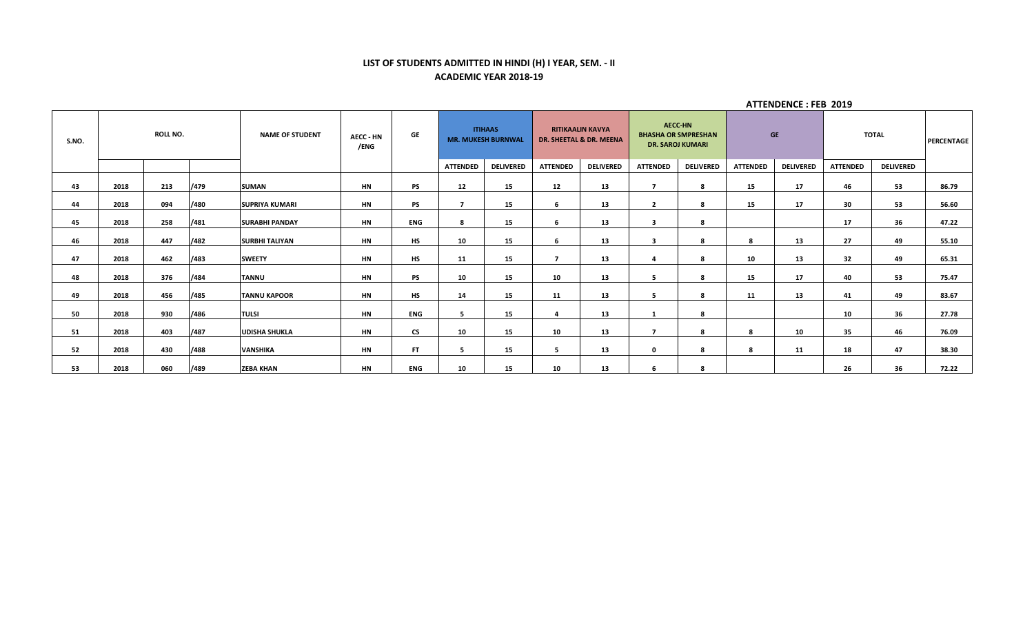## **LIST OF STUDENTS ADMITTED IN HINDI (H) I YEAR, SEM. - II ACADEMIC YEAR 2018-19**

| S.NO. |      | <b>ROLL NO.</b> |      | <b>NAME OF STUDENT</b> | <b>AECC - HN</b><br>/ENG | GE         |                 | <b>ITIHAAS</b><br><b>MR. MUKESH BURNWAL</b> |                 | <b>RITIKAALIN KAVYA</b><br>DR. SHEETAL & DR. MEENA |                          | <b>AECC-HN</b><br><b>BHASHA OR SMPRESHAN</b><br><b>DR. SAROJ KUMARI</b> |                 | <b>GE</b>        |                 | <b>TOTAL</b>     | PERCENTAGE |
|-------|------|-----------------|------|------------------------|--------------------------|------------|-----------------|---------------------------------------------|-----------------|----------------------------------------------------|--------------------------|-------------------------------------------------------------------------|-----------------|------------------|-----------------|------------------|------------|
|       |      |                 |      |                        |                          |            | <b>ATTENDED</b> | <b>DELIVERED</b>                            | <b>ATTENDED</b> | <b>DELIVERED</b>                                   | <b>ATTENDED</b>          | <b>DELIVERED</b>                                                        | <b>ATTENDED</b> | <b>DELIVERED</b> | <b>ATTENDED</b> | <b>DELIVERED</b> |            |
| 43    | 2018 | 213             | /479 | <b>SUMAN</b>           | HN                       | PS         | 12              | 15                                          | 12              | 13                                                 | –                        | 8                                                                       | 15              | 17               | 46              | 53               | 86.79      |
| 44    | 2018 | 094             | /480 | <b>SUPRIYA KUMARI</b>  | HN                       | PS         | 7               | 15                                          | 6               | 13                                                 | $\overline{2}$           | 8                                                                       | 15              | 17               | 30              | 53               | 56.60      |
| 45    | 2018 | 258             | /481 | <b>SURABHI PANDAY</b>  | <b>HN</b>                | <b>ENG</b> | 8               | 15                                          | 6               | 13                                                 | 3                        | 8                                                                       |                 |                  | 17              | 36               | 47.22      |
| 46    | 2018 | 447             | /482 | <b>SURBHI TALIYAN</b>  | HN                       | HS         | 10              | 15                                          | 6               | 13                                                 | 3                        | 8                                                                       | 8               | 13               | 27              | 49               | 55.10      |
| 47    | 2018 | 462             | /483 | <b>SWEETY</b>          | <b>HN</b>                | <b>HS</b>  | 11              | 15                                          | ,               | 13                                                 |                          | 8                                                                       | 10              | 13               | 32              | 49               | 65.31      |
| 48    | 2018 | 376             | /484 | <b>TANNU</b>           | <b>HN</b>                | PS         | 10              | 15                                          | 10              | 13                                                 | -5                       | 8                                                                       | 15              | 17               | 40              | 53               | 75.47      |
| 49    | 2018 | 456             | /485 | <b>TANNU KAPOOR</b>    | HN                       | <b>HS</b>  | 14              | 15                                          | 11              | 13                                                 | -5                       | 8                                                                       | 11              | 13               | 41              | 49               | 83.67      |
| 50    | 2018 | 930             | /486 | <b>TULSI</b>           | <b>HN</b>                | <b>ENG</b> | -5              | 15                                          | Δ               | 13                                                 |                          | 8                                                                       |                 |                  | 10              | 36               | 27.78      |
| 51    | 2018 | 403             | /487 | <b>UDISHA SHUKLA</b>   | <b>HN</b>                | <b>CS</b>  | 10              | 15                                          | 10              | 13                                                 | $\overline{\phantom{a}}$ | 8                                                                       | -8              | 10               | 35              | 46               | 76.09      |
| 52    | 2018 | 430             | /488 | <b>VANSHIKA</b>        | <b>HN</b>                | FT.        | 5               | 15                                          | 5               | 13                                                 | $\mathbf 0$              | 8                                                                       | -8              | 11               | 18              | 47               | 38.30      |
| 53    | 2018 | 060             | /489 | <b>ZEBA KHAN</b>       | <b>HN</b>                | <b>ENG</b> | 10              | 15                                          | 10              | 13                                                 | 6                        | 8                                                                       |                 |                  | 26              | 36               | 72.22      |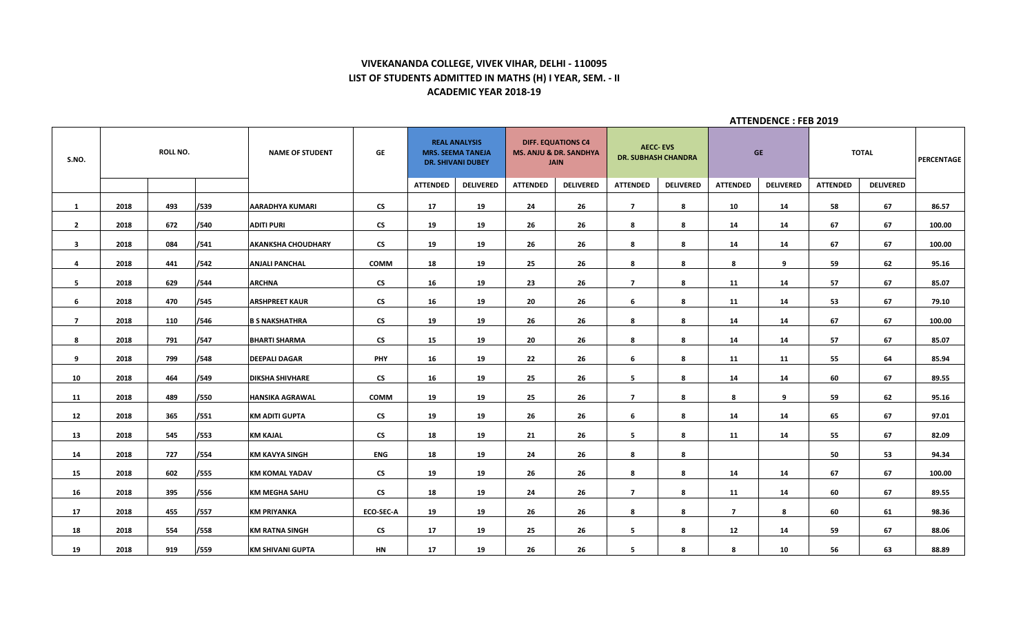# **VIVEKANANDA COLLEGE, VIVEK VIHAR, DELHI - 110095 LIST OF STUDENTS ADMITTED IN MATHS (H) I YEAR, SEM. - II ACADEMIC YEAR 2018-19**

| S.NO.                   |      | ROLL NO. |      | <b>NAME OF STUDENT</b>    | GE                       |                 | <b>REAL ANALYSIS</b><br><b>MRS. SEEMA TANEJA</b><br><b>DR. SHIVANI DUBEY</b> | <b>MS. ANJU &amp; DR. SANDHYA</b> | <b>DIFF. EQUATIONS C4</b><br><b>JAIN</b> |                 | <b>AECC-EVS</b><br><b>DR. SUBHASH CHANDRA</b> |                 | <b>GE</b>        |                 | <b>TOTAL</b>     | PERCENTAGE |
|-------------------------|------|----------|------|---------------------------|--------------------------|-----------------|------------------------------------------------------------------------------|-----------------------------------|------------------------------------------|-----------------|-----------------------------------------------|-----------------|------------------|-----------------|------------------|------------|
|                         |      |          |      |                           |                          | <b>ATTENDED</b> | <b>DELIVERED</b>                                                             | <b>ATTENDED</b>                   | <b>DELIVERED</b>                         | <b>ATTENDED</b> | <b>DELIVERED</b>                              | <b>ATTENDED</b> | <b>DELIVERED</b> | <b>ATTENDED</b> | <b>DELIVERED</b> |            |
| 1                       | 2018 | 493      | /539 | <b>AARADHYA KUMARI</b>    | <b>CS</b>                | 17              | 19                                                                           | 24                                | 26                                       | $\overline{7}$  | 8                                             | 10              | 14               | 58              | 67               | 86.57      |
| $\mathbf{2}$            | 2018 | 672      | /540 | <b>ADITI PURI</b>         | <b>CS</b>                | 19              | 19                                                                           | 26                                | 26                                       | 8               | 8                                             | 14              | 14               | 67              | 67               | 100.00     |
| $\overline{\mathbf{3}}$ | 2018 | 084      | /541 | <b>AKANKSHA CHOUDHARY</b> | $\mathsf{CS}\phantom{0}$ | 19              | 19                                                                           | 26                                | 26                                       | 8               | 8                                             | 14              | 14               | 67              | 67               | 100.00     |
| 4                       | 2018 | 441      | /542 | <b>ANJALI PANCHAL</b>     | COMM                     | 18              | 19                                                                           | 25                                | 26                                       | 8               | 8                                             | 8               | 9                | 59              | 62               | 95.16      |
| 5                       | 2018 | 629      | /544 | <b>ARCHNA</b>             | <b>CS</b>                | 16              | 19                                                                           | 23                                | 26                                       | $\overline{7}$  | 8                                             | 11              | 14               | 57              | 67               | 85.07      |
| 6                       | 2018 | 470      | /545 | <b>ARSHPREET KAUR</b>     | $\mathsf{CS}\phantom{0}$ | 16              | 19                                                                           | 20                                | 26                                       | 6               | 8                                             | 11              | 14               | 53              | 67               | 79.10      |
| $\overline{7}$          | 2018 | 110      | /546 | <b>B S NAKSHATHRA</b>     | <b>CS</b>                | 19              | 19                                                                           | 26                                | 26                                       | 8               | 8                                             | 14              | 14               | 67              | 67               | 100.00     |
| 8                       | 2018 | 791      | /547 | <b>BHARTI SHARMA</b>      | <b>CS</b>                | 15              | 19                                                                           | 20                                | 26                                       | 8               | 8                                             | 14              | 14               | 57              | 67               | 85.07      |
| 9                       | 2018 | 799      | /548 | <b>DEEPALI DAGAR</b>      | <b>PHY</b>               | 16              | 19                                                                           | 22                                | 26                                       | 6               | 8                                             | 11              | 11               | 55              | 64               | 85.94      |
| 10                      | 2018 | 464      | /549 | <b>DIKSHA SHIVHARE</b>    | <b>CS</b>                | 16              | 19                                                                           | 25                                | 26                                       | -5              | 8                                             | 14              | 14               | 60              | 67               | 89.55      |
| 11                      | 2018 | 489      | /550 | <b>HANSIKA AGRAWAL</b>    | <b>COMM</b>              | 19              | 19                                                                           | 25                                | 26                                       | $\overline{7}$  | 8                                             | 8               | 9                | 59              | 62               | 95.16      |
| 12                      | 2018 | 365      | /551 | <b>KM ADITI GUPTA</b>     | <b>CS</b>                | 19              | 19                                                                           | 26                                | 26                                       | 6               | 8                                             | 14              | 14               | 65              | 67               | 97.01      |
| 13                      | 2018 | 545      | /553 | <b>KM KAJAL</b>           | <b>CS</b>                | 18              | 19                                                                           | 21                                | 26                                       | -5              | 8                                             | 11              | 14               | 55              | 67               | 82.09      |
| 14                      | 2018 | 727      | /554 | <b>KM KAVYA SINGH</b>     | <b>ENG</b>               | 18              | 19                                                                           | 24                                | 26                                       | 8               | 8                                             |                 |                  | 50              | 53               | 94.34      |
| 15                      | 2018 | 602      | /555 | <b>KM KOMAL YADAV</b>     | <b>CS</b>                | 19              | 19                                                                           | 26                                | 26                                       | 8               | 8                                             | 14              | 14               | 67              | 67               | 100.00     |
| 16                      | 2018 | 395      | /556 | <b>KM MEGHA SAHU</b>      | <b>CS</b>                | 18              | 19                                                                           | 24                                | 26                                       | $\overline{z}$  | 8                                             | 11              | 14               | 60              | 67               | 89.55      |
| 17                      | 2018 | 455      | /557 | <b>KM PRIYANKA</b>        | <b>ECO-SEC-A</b>         | 19              | 19                                                                           | 26                                | 26                                       | 8               | 8                                             | $\overline{7}$  | 8                | 60              | 61               | 98.36      |
| 18                      | 2018 | 554      | /558 | <b>KM RATNA SINGH</b>     | <b>CS</b>                | 17              | 19                                                                           | 25                                | 26                                       | 5               | 8                                             | 12              | 14               | 59              | 67               | 88.06      |
| 19                      | 2018 | 919      | /559 | <b>KM SHIVANI GUPTA</b>   | HN                       | 17              | 19                                                                           | 26                                | 26                                       | 5               | 8                                             | 8               | 10               | 56              | 63               | 88.89      |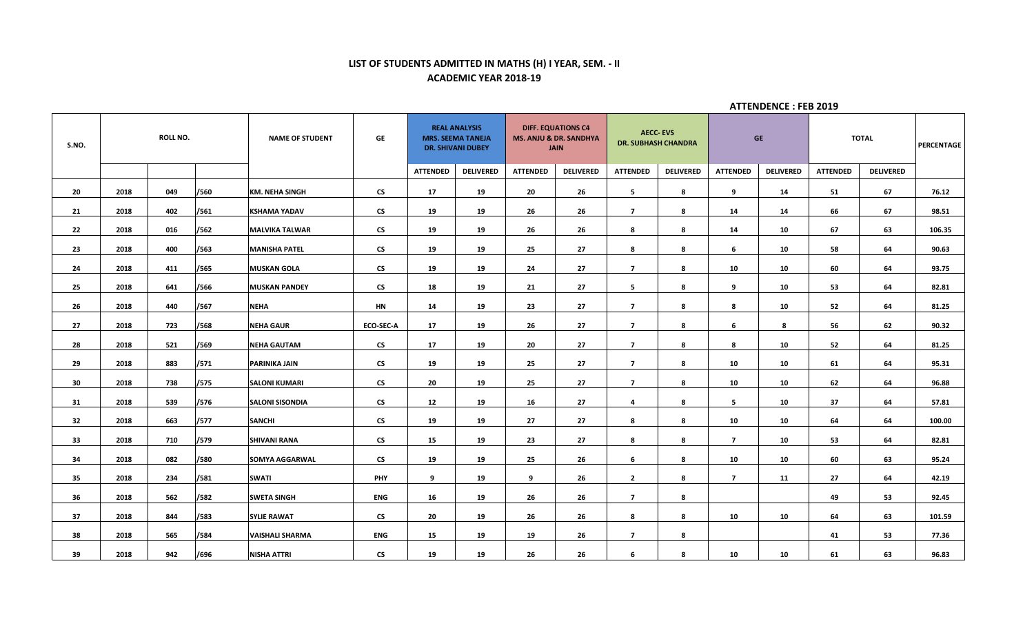# **LIST OF STUDENTS ADMITTED IN MATHS (H) I YEAR, SEM. - II ACADEMIC YEAR 2018-19**

| S.NO. | <b>ROLL NO.</b> |     | <b>NAME OF STUDENT</b> | GE                     | <b>REAL ANALYSIS</b><br><b>MRS. SEEMA TANEJA</b><br><b>DR. SHIVANI DUBEY</b> |                 |                  | <b>DIFF. EQUATIONS C4</b><br><b>MS. ANJU &amp; DR. SANDHYA</b><br><b>JAIN</b> |                  | <b>AECC-EVS</b><br><b>DR. SUBHASH CHANDRA</b> | <b>GE</b>        |                 | <b>TOTAL</b>     |                 | <b>PERCENTAGE</b> |        |
|-------|-----------------|-----|------------------------|------------------------|------------------------------------------------------------------------------|-----------------|------------------|-------------------------------------------------------------------------------|------------------|-----------------------------------------------|------------------|-----------------|------------------|-----------------|-------------------|--------|
|       |                 |     |                        |                        |                                                                              | <b>ATTENDED</b> | <b>DELIVERED</b> | <b>ATTENDED</b>                                                               | <b>DELIVERED</b> | <b>ATTENDED</b>                               | <b>DELIVERED</b> | <b>ATTENDED</b> | <b>DELIVERED</b> | <b>ATTENDED</b> | <b>DELIVERED</b>  |        |
| 20    | 2018            | 049 | /560                   | <b>KM. NEHA SINGH</b>  | <b>CS</b>                                                                    | 17              | 19               | 20                                                                            | 26               | 5                                             | 8                | 9               | 14               | 51              | 67                | 76.12  |
| 21    | 2018            | 402 | /561                   | <b>KSHAMA YADAV</b>    | <b>CS</b>                                                                    | 19              | 19               | 26                                                                            | 26               | $\overline{7}$                                | 8                | 14              | 14               | 66              | 67                | 98.51  |
| 22    | 2018            | 016 | /562                   | <b>MALVIKA TALWAR</b>  | $\mathsf{CS}^-$                                                              | 19              | 19               | 26                                                                            | 26               | 8                                             | 8                | 14              | 10               | 67              | 63                | 106.35 |
| 23    | 2018            | 400 | /563                   | <b>MANISHA PATEL</b>   | <b>CS</b>                                                                    | 19              | 19               | 25                                                                            | 27               | 8                                             | 8                | 6               | 10               | 58              | 64                | 90.63  |
| 24    | 2018            | 411 | /565                   | <b>MUSKAN GOLA</b>     | $\mathsf{CS}\phantom{0}$                                                     | 19              | 19               | 24                                                                            | 27               | $\overline{7}$                                | 8                | 10              | 10               | 60              | 64                | 93.75  |
| 25    | 2018            | 641 | /566                   | <b>MUSKAN PANDEY</b>   | $\mathsf{CS}$                                                                | 18              | 19               | 21                                                                            | 27               | 5                                             | -8               | 9               | 10               | 53              | 64                | 82.81  |
| 26    | 2018            | 440 | /567                   | <b>NEHA</b>            | <b>HN</b>                                                                    | 14              | 19               | 23                                                                            | 27               | $\overline{7}$                                | 8                | 8               | 10               | 52              | 64                | 81.25  |
| 27    | 2018            | 723 | /568                   | <b>NEHA GAUR</b>       | <b>ECO-SEC-A</b>                                                             | 17              | 19               | 26                                                                            | 27               | $\overline{7}$                                | 8                | 6               | 8                | 56              | 62                | 90.32  |
| 28    | 2018            | 521 | /569                   | <b>NEHA GAUTAM</b>     | $\mathsf{CS}\phantom{0}$                                                     | 17              | 19               | 20                                                                            | 27               | $\overline{7}$                                | 8                | 8               | 10               | 52              | 64                | 81.25  |
| 29    | 2018            | 883 | /571                   | PARINIKA JAIN          | $\mathsf{CS}\phantom{0}$                                                     | 19              | 19               | 25                                                                            | 27               | $\overline{7}$                                | 8                | 10              | 10               | 61              | 64                | 95.31  |
| 30    | 2018            | 738 | /575                   | <b>SALONI KUMARI</b>   | <b>CS</b>                                                                    | 20              | 19               | 25                                                                            | 27               | $\overline{7}$                                | 8                | 10              | 10               | 62              | 64                | 96.88  |
| 31    | 2018            | 539 | /576                   | <b>SALONI SISONDIA</b> | <b>CS</b>                                                                    | 12              | 19               | 16                                                                            | 27               | $\overline{4}$                                | -8               | 5               | 10               | 37              | 64                | 57.81  |
| 32    | 2018            | 663 | /577                   | <b>SANCHI</b>          | $\mathsf{CS}\phantom{0}$                                                     | 19              | 19               | 27                                                                            | 27               | 8                                             | 8                | 10              | 10               | 64              | 64                | 100.00 |
| 33    | 2018            | 710 | /579                   | <b>SHIVANI RANA</b>    | <b>CS</b>                                                                    | 15              | 19               | 23                                                                            | 27               | 8                                             | 8                | $\overline{7}$  | 10               | 53              | 64                | 82.81  |
| 34    | 2018            | 082 | /580                   | SOMYA AGGARWAL         | <b>CS</b>                                                                    | 19              | 19               | 25                                                                            | 26               | 6                                             | 8                | 10              | 10               | 60              | 63                | 95.24  |
| 35    | 2018            | 234 | /581                   | <b>SWATI</b>           | <b>PHY</b>                                                                   | 9               | 19               | 9                                                                             | 26               | $\overline{2}$                                | 8                | $\overline{7}$  | 11               | 27              | 64                | 42.19  |
| 36    | 2018            | 562 | /582                   | <b>SWETA SINGH</b>     | <b>ENG</b>                                                                   | 16              | 19               | 26                                                                            | 26               | $\overline{7}$                                | 8                |                 |                  | 49              | 53                | 92.45  |
| 37    | 2018            | 844 | /583                   | <b>SYLIE RAWAT</b>     | <b>CS</b>                                                                    | 20              | 19               | 26                                                                            | 26               | 8                                             | 8                | 10              | 10               | 64              | 63                | 101.59 |
| 38    | 2018            | 565 | /584                   | <b>VAISHALI SHARMA</b> | ENG                                                                          | 15              | 19               | 19                                                                            | 26               | $\overline{7}$                                | 8                |                 |                  | 41              | 53                | 77.36  |
| 39    | 2018            | 942 | /696                   | <b>NISHA ATTRI</b>     | $\mathsf{CS}$                                                                | 19              | 19               | 26                                                                            | 26               | 6                                             | 8                | 10              | 10               | 61              | 63                | 96.83  |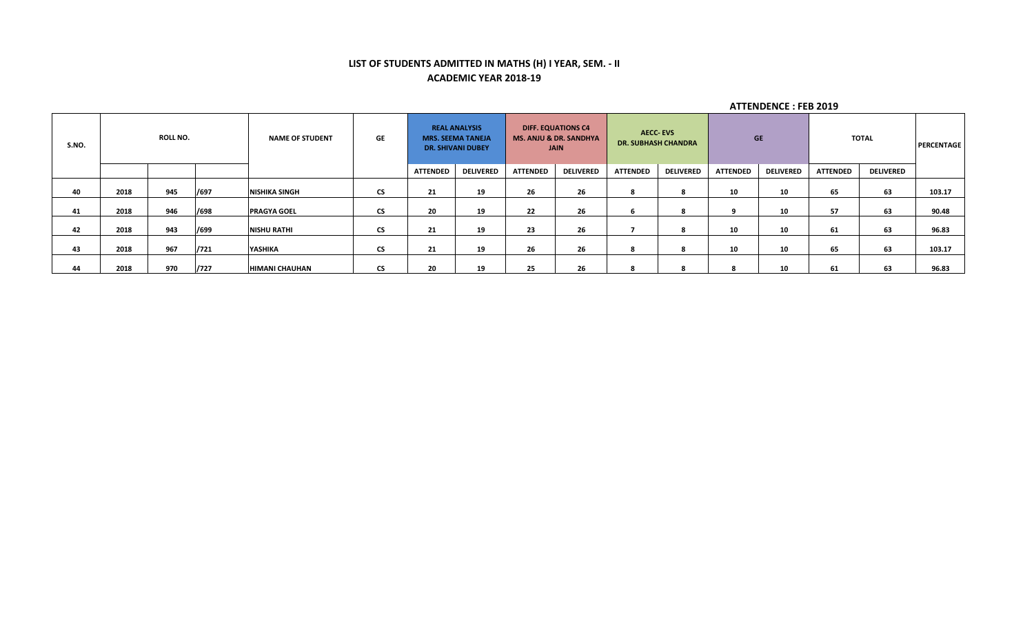# **LIST OF STUDENTS ADMITTED IN MATHS (H) I YEAR, SEM. - II ACADEMIC YEAR 2018-19**

| S.NO. | <b>ROLL NO.</b> |     | <b>NAME OF STUDENT</b> | GE                    | <b>REAL ANALYSIS</b><br><b>MRS. SEEMA TANEJA</b><br><b>DR. SHIVANI DUBEY</b> |                 | <b>DIFF. EQUATIONS C4</b><br><b>MS. ANJU &amp; DR. SANDHYA</b><br><b>JAIN</b> |                 | <b>AECC-EVS</b><br><b>DR. SUBHASH CHANDRA</b> |                 | <b>GE</b>        |                 | TOTAL            |                 | PERCENTAGE       |        |
|-------|-----------------|-----|------------------------|-----------------------|------------------------------------------------------------------------------|-----------------|-------------------------------------------------------------------------------|-----------------|-----------------------------------------------|-----------------|------------------|-----------------|------------------|-----------------|------------------|--------|
|       |                 |     |                        |                       |                                                                              | <b>ATTENDED</b> | <b>DELIVERED</b>                                                              | <b>ATTENDED</b> | <b>DELIVERED</b>                              | <b>ATTENDED</b> | <b>DELIVERED</b> | <b>ATTENDED</b> | <b>DELIVERED</b> | <b>ATTENDED</b> | <b>DELIVERED</b> |        |
| 40    | 2018            | 945 | /697                   | <b>NISHIKA SINGH</b>  | <b>CS</b>                                                                    | 21              | 19                                                                            | 26              | 26                                            | 8               |                  | 10              | 10               | 65              | 63               | 103.17 |
| 41    | 2018            | 946 | /698                   | <b>PRAGYA GOEL</b>    | <b>CS</b>                                                                    | 20              | 19                                                                            | 22              | 26                                            | ь               |                  | ۹               | 10               | 57              | 63               | 90.48  |
| 42    | 2018            | 943 | /699                   | <b>NISHU RATHI</b>    | <b>CS</b>                                                                    | 21              | 19                                                                            | 23              | 26                                            |                 |                  | 10              | 10               | 61              | 63               | 96.83  |
| 43    | 2018            | 967 | /721                   | YASHIKA               | <b>CS</b>                                                                    | 21              | 19                                                                            | 26              | 26                                            | 8               |                  | 10              | 10               | 65              | 63               | 103.17 |
| 44    | 2018            | 970 | /727                   | <b>HIMANI CHAUHAN</b> | CS.                                                                          | 20              | 19                                                                            | 25              | 26                                            | 8               |                  |                 | 10               | 61              | 63               | 96.83  |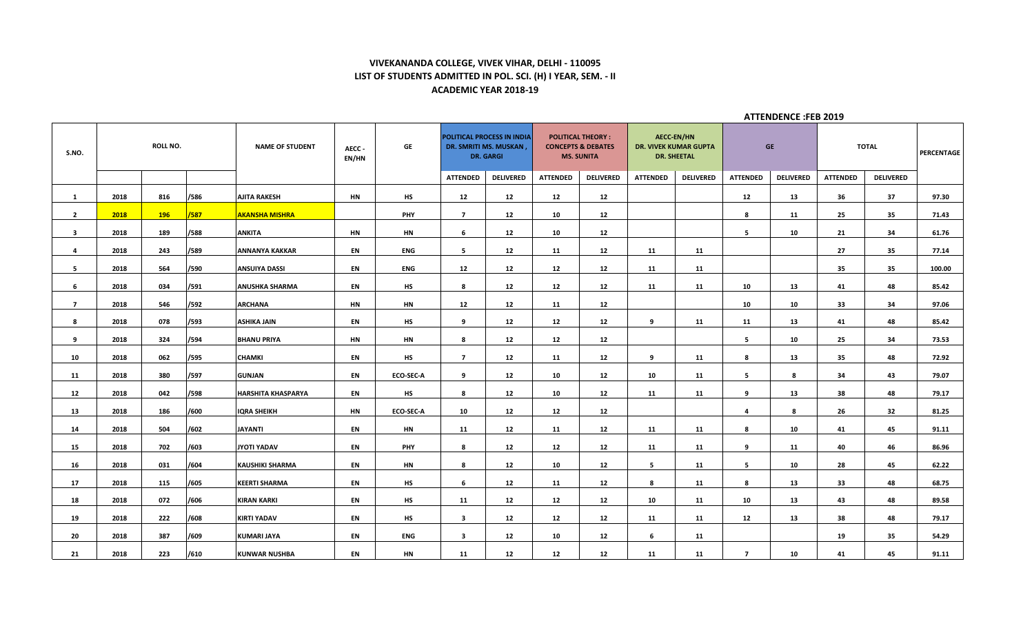#### **VIVEKANANDA COLLEGE, VIVEK VIHAR, DELHI - 110095 LIST OF STUDENTS ADMITTED IN POL. SCI. (H) I YEAR, SEM. - II ACADEMIC YEAR 2018-19**

| S.NO.          | ROLL NO. |     | <b>NAME OF STUDENT</b> | AECC-<br>EN/HN            | GE        | POLITICAL PROCESS IN INDIA<br>DR. SMRITI MS. MUSKAN,<br><b>DR. GARGI</b> |                 | <b>POLITICAL THEORY:</b><br><b>CONCEPTS &amp; DEBATES</b><br><b>MS. SUNITA</b> |                 | <b>AECC-EN/HN</b><br><b>DR. VIVEK KUMAR GUPTA</b><br><b>DR. SHEETAL</b> |                 | <b>GE</b>        |                 | <b>TOTAL</b>     |                 | PERCENTAGE       |        |
|----------------|----------|-----|------------------------|---------------------------|-----------|--------------------------------------------------------------------------|-----------------|--------------------------------------------------------------------------------|-----------------|-------------------------------------------------------------------------|-----------------|------------------|-----------------|------------------|-----------------|------------------|--------|
|                |          |     |                        |                           |           |                                                                          | <b>ATTENDED</b> | <b>DELIVERED</b>                                                               | <b>ATTENDED</b> | <b>DELIVERED</b>                                                        | <b>ATTENDED</b> | <b>DELIVERED</b> | <b>ATTENDED</b> | <b>DELIVERED</b> | <b>ATTENDED</b> | <b>DELIVERED</b> |        |
| $\mathbf{1}$   | 2018     | 816 | /586                   | AJITA RAKESH              | <b>HN</b> | <b>HS</b>                                                                | 12              | 12                                                                             | 12              | 12                                                                      |                 |                  | 12              | 13               | 36              | 37               | 97.30  |
| $\overline{2}$ | 2018     | 196 | /587                   | <b>AKANSHA MISHRA</b>     |           | <b>PHY</b>                                                               | $\overline{ }$  | 12                                                                             | 10              | 12                                                                      |                 |                  | 8               | 11               | 25              | 35               | 71.43  |
| $\mathbf{3}$   | 2018     | 189 | /588                   | <b>ANKITA</b>             | HN        | HN                                                                       | 6               | 12                                                                             | 10              | 12                                                                      |                 |                  | 5               | 10               | 21              | 34               | 61.76  |
| $\overline{4}$ | 2018     | 243 | /589                   | ANNANYA KAKKAR            | EN        | ENG                                                                      | 5               | 12                                                                             | 11              | 12                                                                      | 11              | 11               |                 |                  | 27              | 35               | 77.14  |
| 5              | 2018     | 564 | /590                   | <b>ANSUIYA DASSI</b>      | EN        | <b>ENG</b>                                                               | 12              | 12                                                                             | 12              | 12                                                                      | 11              | 11               |                 |                  | 35              | 35               | 100.00 |
| 6              | 2018     | 034 | /591                   | <b>ANUSHKA SHARMA</b>     | EN        | HS                                                                       | 8               | 12                                                                             | 12              | 12                                                                      | 11              | 11               | 10              | 13               | 41              | 48               | 85.42  |
| $\overline{7}$ | 2018     | 546 | /592                   | <b>ARCHANA</b>            | <b>HN</b> | HN                                                                       | 12              | 12                                                                             | 11              | 12                                                                      |                 |                  | 10              | 10               | 33              | 34               | 97.06  |
| 8              | 2018     | 078 | /593                   | ASHIKA JAIN               | EN        | HS                                                                       | 9               | 12                                                                             | 12              | 12                                                                      | 9               | 11               | 11              | 13               | 41              | 48               | 85.42  |
| 9              | 2018     | 324 | /594                   | <b>BHANU PRIYA</b>        | <b>HN</b> | <b>HN</b>                                                                | 8               | 12                                                                             | 12              | 12                                                                      |                 |                  | 5               | 10               | 25              | 34               | 73.53  |
| 10             | 2018     | 062 | /595                   | <b>CHAMKI</b>             | EN        | HS                                                                       | $\overline{ }$  | 12                                                                             | 11              | 12                                                                      | 9               | 11               | 8               | 13               | 35              | 48               | 72.92  |
| 11             | 2018     | 380 | /597                   | <b>GUNJAN</b>             | EN        | <b>ECO-SEC-A</b>                                                         | 9               | 12                                                                             | 10              | 12                                                                      | 10              | 11               | 5               | 8                | 34              | 43               | 79.07  |
| 12             | 2018     | 042 | /598                   | <b>HARSHITA KHASPARYA</b> | EN        | HS                                                                       | 8               | 12                                                                             | 10              | 12                                                                      | 11              | 11               | 9               | 13               | 38              | 48               | 79.17  |
| 13             | 2018     | 186 | /600                   | <b>IQRA SHEIKH</b>        | <b>HN</b> | <b>ECO-SEC-A</b>                                                         | 10              | 12                                                                             | 12              | 12                                                                      |                 |                  | 4               | 8                | 26              | 32               | 81.25  |
| 14             | 2018     | 504 | /602                   | <b>JAYANTI</b>            | EN        | HN                                                                       | 11              | 12                                                                             | 11              | 12                                                                      | 11              | 11               | 8               | 10               | 41              | 45               | 91.11  |
| 15             | 2018     | 702 | /603                   | JYOTI YADAV               | EN        | <b>PHY</b>                                                               | 8               | 12                                                                             | 12              | 12                                                                      | 11              | 11               | 9               | 11               | 40              | 46               | 86.96  |
| 16             | 2018     | 031 | /604                   | <b>KAUSHIKI SHARMA</b>    | EN        | HN                                                                       | 8               | 12                                                                             | 10              | 12                                                                      | 5               | 11               | 5               | 10               | 28              | 45               | 62.22  |
| 17             | 2018     | 115 | /605                   | <b>KEERTI SHARMA</b>      | EN        | HS                                                                       | 6               | 12                                                                             | 11              | 12                                                                      | 8               | 11               | 8               | 13               | 33              | 48               | 68.75  |
| 18             | 2018     | 072 | /606                   | <b>KIRAN KARKI</b>        | EN        | <b>HS</b>                                                                | 11              | 12                                                                             | 12              | 12                                                                      | 10              | 11               | 10              | 13               | 43              | 48               | 89.58  |
| 19             | 2018     | 222 | /608                   | <b>KIRTI YADAV</b>        | EN        | HS                                                                       | 3               | 12                                                                             | 12              | 12                                                                      | 11              | 11               | 12              | 13               | 38              | 48               | 79.17  |
| 20             | 2018     | 387 | /609                   | <b>KUMARI JAYA</b>        | EN        | ENG                                                                      | $\mathbf{3}$    | 12                                                                             | 10              | 12                                                                      | 6               | 11               |                 |                  | 19              | 35               | 54.29  |
| 21             | 2018     | 223 | /610                   | <b>KUNWAR NUSHBA</b>      | EN        | HN                                                                       | 11              | 12                                                                             | 12              | 12                                                                      | 11              | 11               | $\overline{ }$  | 10               | 41              | 45               | 91.11  |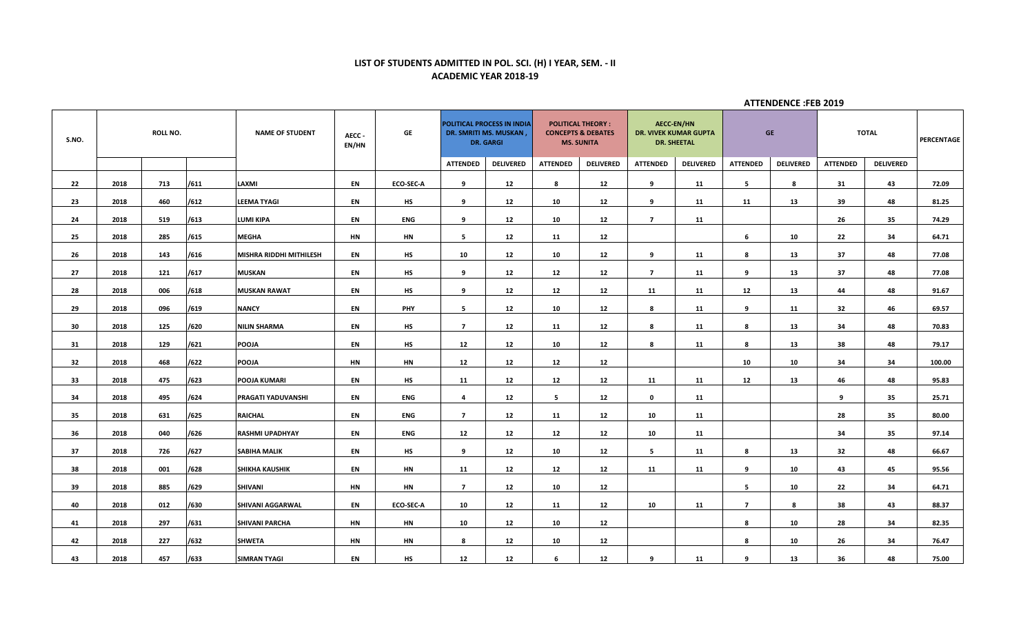## **LIST OF STUDENTS ADMITTED IN POL. SCI. (H) I YEAR, SEM. - II ACADEMIC YEAR 2018-19**

| S.NO. | <b>ROLL NO.</b> |     | <b>NAME OF STUDENT</b> | AECC-<br>EN/HN          | GE        | POLITICAL PROCESS IN INDIA<br>DR. SMRITI MS. MUSKAN,<br><b>DR. GARGI</b> |                 | <b>POLITICAL THEORY:</b><br><b>CONCEPTS &amp; DEBATES</b><br><b>MS. SUNITA</b> |                 | <b>AECC-EN/HN</b><br><b>DR. VIVEK KUMAR GUPTA</b><br><b>DR. SHEETAL</b> |                 | <b>GE</b>        |                 | <b>TOTAL</b>     |                 | PERCENTAGE       |        |
|-------|-----------------|-----|------------------------|-------------------------|-----------|--------------------------------------------------------------------------|-----------------|--------------------------------------------------------------------------------|-----------------|-------------------------------------------------------------------------|-----------------|------------------|-----------------|------------------|-----------------|------------------|--------|
|       |                 |     |                        |                         |           |                                                                          | <b>ATTENDED</b> | <b>DELIVERED</b>                                                               | <b>ATTENDED</b> | <b>DELIVERED</b>                                                        | <b>ATTENDED</b> | <b>DELIVERED</b> | <b>ATTENDED</b> | <b>DELIVERED</b> | <b>ATTENDED</b> | <b>DELIVERED</b> |        |
| 22    | 2018            | 713 | /611                   | LAXMI                   | EN        | <b>ECO-SEC-A</b>                                                         | 9               | 12                                                                             | 8               | 12                                                                      | 9               | 11               | 5               | 8                | 31              | 43               | 72.09  |
| 23    | 2018            | 460 | /612                   | <b>LEEMA TYAGI</b>      | EN        | <b>HS</b>                                                                | 9               | 12                                                                             | 10              | 12                                                                      | 9               | 11               | 11              | 13               | 39              | 48               | 81.25  |
| 24    | 2018            | 519 | /613                   | LUMI KIPA               | EN        | ENG                                                                      | 9               | 12                                                                             | 10              | 12                                                                      | $\overline{7}$  | 11               |                 |                  | 26              | 35               | 74.29  |
| 25    | 2018            | 285 | /615                   | <b>MEGHA</b>            | <b>HN</b> | HN                                                                       | 5               | 12                                                                             | 11              | 12                                                                      |                 |                  | 6               | 10               | 22              | 34               | 64.71  |
| 26    | 2018            | 143 | /616                   | MISHRA RIDDHI MITHILESH | EN        | <b>HS</b>                                                                | 10              | 12                                                                             | 10              | 12                                                                      | 9               | 11               | 8               | 13               | 37              | 48               | 77.08  |
| 27    | 2018            | 121 | /617                   | <b>MUSKAN</b>           | EN        | <b>HS</b>                                                                | 9               | 12                                                                             | 12              | 12                                                                      | $\overline{ }$  | 11               | 9               | 13               | 37              | 48               | 77.08  |
| 28    | 2018            | 006 | /618                   | <b>MUSKAN RAWAT</b>     | EN        | HS                                                                       | 9               | 12                                                                             | 12              | 12                                                                      | 11              | 11               | 12              | 13               | 44              | 48               | 91.67  |
| 29    | 2018            | 096 | /619                   | <b>NANCY</b>            | EN        | <b>PHY</b>                                                               | 5 <sub>1</sub>  | 12                                                                             | 10              | 12                                                                      | 8               | 11               | 9               | 11               | 32              | 46               | 69.57  |
| 30    | 2018            | 125 | /620                   | <b>NILIN SHARMA</b>     | EN        | HS                                                                       | $\overline{7}$  | 12                                                                             | 11              | 12                                                                      | 8               | 11               | 8               | 13               | 34              | 48               | 70.83  |
| 31    | 2018            | 129 | /621                   | <b>POOJA</b>            | EN        | HS                                                                       | 12              | $12\,$                                                                         | 10              | 12                                                                      | 8               | 11               | 8               | 13               | 38              | 48               | 79.17  |
| 32    | 2018            | 468 | /622                   | <b>POOJA</b>            | HN        | НN                                                                       | 12              | $12\,$                                                                         | 12              | 12                                                                      |                 |                  | 10              | 10               | 34              | 34               | 100.00 |
| 33    | 2018            | 475 | /623                   | <b>POOJA KUMARI</b>     | EN        | HS                                                                       | 11              | 12                                                                             | 12              | 12                                                                      | 11              | 11               | 12              | 13               | 46              | 48               | 95.83  |
| 34    | 2018            | 495 | /624                   | PRAGATI YADUVANSHI      | EN        | ENG                                                                      | 4               | 12                                                                             | 5               | 12                                                                      | $\mathbf 0$     | 11               |                 |                  | 9               | 35               | 25.71  |
| 35    | 2018            | 631 | /625                   | <b>RAICHAL</b>          | EN        | <b>ENG</b>                                                               | $\overline{7}$  | 12                                                                             | 11              | 12                                                                      | 10              | 11               |                 |                  | 28              | 35               | 80.00  |
| 36    | 2018            | 040 | /626                   | <b>RASHMI UPADHYAY</b>  | EN        | <b>ENG</b>                                                               | 12              | 12                                                                             | $12$            | $12$                                                                    | 10              | 11               |                 |                  | 34              | 35               | 97.14  |
| 37    | 2018            | 726 | /627                   | <b>SABIHA MALIK</b>     | EN        | <b>HS</b>                                                                | 9               | 12                                                                             | 10              | 12                                                                      | 5               | 11               | 8               | 13               | 32              | 48               | 66.67  |
| 38    | 2018            | 001 | /628                   | <b>SHIKHA KAUSHIK</b>   | EN        | HN                                                                       | 11              | 12                                                                             | 12              | 12                                                                      | 11              | 11               | 9               | 10               | 43              | 45               | 95.56  |
| 39    | 2018            | 885 | /629                   | <b>SHIVANI</b>          | <b>HN</b> | HN                                                                       | $\overline{7}$  | 12                                                                             | 10              | 12                                                                      |                 |                  | 5               | 10               | 22              | 34               | 64.71  |
| 40    | 2018            | 012 | /630                   | SHIVANI AGGARWAL        | EN        | ECO-SEC-A                                                                | 10              | 12                                                                             | 11              | 12                                                                      | 10              | 11               | $\overline{7}$  | 8                | 38              | 43               | 88.37  |
| 41    | 2018            | 297 | /631                   | <b>SHIVANI PARCHA</b>   | HN        | НN                                                                       | 10              | 12                                                                             | 10              | 12                                                                      |                 |                  | 8               | 10               | 28              | 34               | 82.35  |
| 42    | 2018            | 227 | /632                   | <b>SHWETA</b>           | <b>HN</b> | HN                                                                       | 8               | 12                                                                             | 10              | 12                                                                      |                 |                  | 8               | 10               | 26              | 34               | 76.47  |
| 43    | 2018            | 457 | /633                   | <b>SIMRAN TYAGI</b>     | EN        | <b>HS</b>                                                                | 12              | 12                                                                             | 6               | 12                                                                      | 9               | 11               | 9               | 13               | 36              | 48               | 75.00  |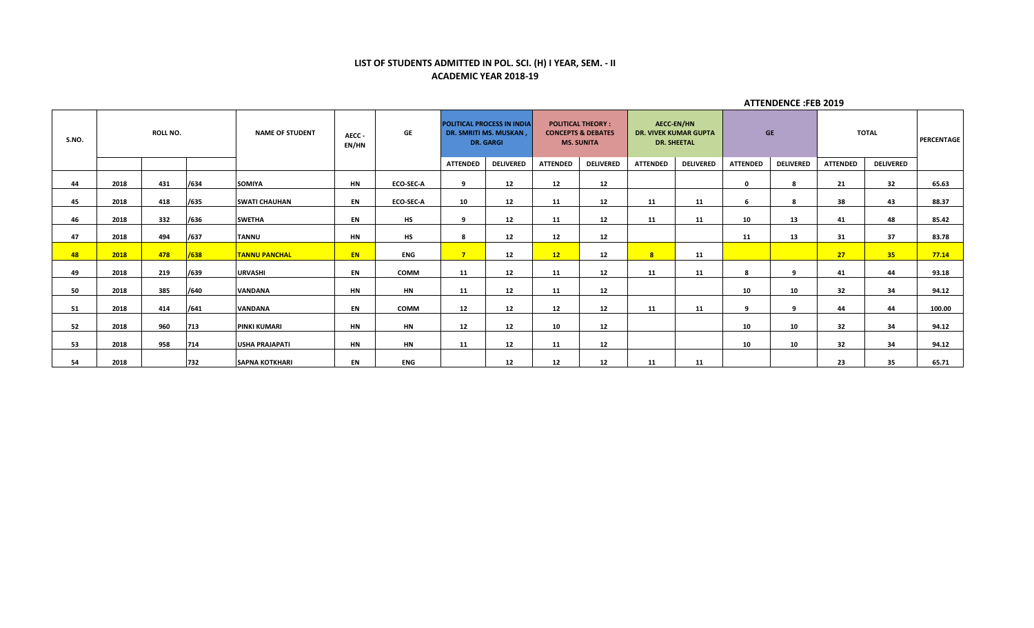### **LIST OF STUDENTS ADMITTED IN POL. SCI. (H) I YEAR, SEM. - II ACADEMIC YEAR 2018-19**

| S.NO. | ROLL NO. |     | <b>NAME OF STUDENT</b> | AECC -<br>EN/HN       | GE        | <b>POLITICAL PROCESS IN INDIA</b><br>DR. SMRITI MS. MUSKAN,<br><b>DR. GARGI</b> |                 | <b>POLITICAL THEORY:</b><br><b>CONCEPTS &amp; DEBATES</b><br><b>MS. SUNITA</b> |                 | <b>AECC-EN/HN</b><br><b>DR. VIVEK KUMAR GUPTA</b><br><b>DR. SHEETAL</b> |                 | <b>GE</b>        |                 | <b>TOTAL</b>     |                 | <b>PERCENTAGE</b> |        |
|-------|----------|-----|------------------------|-----------------------|-----------|---------------------------------------------------------------------------------|-----------------|--------------------------------------------------------------------------------|-----------------|-------------------------------------------------------------------------|-----------------|------------------|-----------------|------------------|-----------------|-------------------|--------|
|       |          |     |                        |                       |           |                                                                                 | <b>ATTENDED</b> | <b>DELIVERED</b>                                                               | <b>ATTENDED</b> | <b>DELIVERED</b>                                                        | <b>ATTENDED</b> | <b>DELIVERED</b> | <b>ATTENDED</b> | <b>DELIVERED</b> | <b>ATTENDED</b> | <b>DELIVERED</b>  |        |
| 44    | 2018     | 431 | /634                   | <b>SOMIYA</b>         | <b>HN</b> | <b>ECO-SEC-A</b>                                                                |                 | 12                                                                             | 12              | 12                                                                      |                 |                  | $\mathbf{0}$    | 8                | 21              | 32                | 65.63  |
| 45    | 2018     | 418 | /635                   | <b>SWATI CHAUHAN</b>  | EN        | <b>ECO-SEC-A</b>                                                                | 10              | 12                                                                             | 11              | 12                                                                      | 11              | 11               | 6               | 8                | 38              | 43                | 88.37  |
| 46    | 2018     | 332 | /636                   | <b>SWETHA</b>         | EN        | <b>HS</b>                                                                       | q               | 12                                                                             | 11              | 12                                                                      | 11              | 11               | 10              | 13               | 41              | 48                | 85.42  |
| 47    | 2018     | 494 | /637                   | <b>TANNU</b>          | <b>HN</b> | <b>HS</b>                                                                       |                 | 12                                                                             | 12              | 12                                                                      |                 |                  | 11              | 13               | 31              | 37                | 83.78  |
| 48    | 2018     | 478 | /638                   | <b>TANNU PANCHAL</b>  | EN.       | <b>ENG</b>                                                                      | $\overline{7}$  | 12                                                                             | 12              | 12                                                                      | 8               | 11               |                 |                  | 27              | 35 <sub>1</sub>   | 77.14  |
| 49    | 2018     | 219 | /639                   | <b>URVASHI</b>        | EN        | <b>COMM</b>                                                                     | 11              | 12                                                                             | 11              | 12                                                                      | 11              | 11               | 8               | q                | 41              | 44                | 93.18  |
| 50    | 2018     | 385 | /640                   | <b>VANDANA</b>        | <b>HN</b> | <b>HN</b>                                                                       | 11              | 12                                                                             | 11              | 12                                                                      |                 |                  | 10              | 10               | 32              | 34                | 94.12  |
| 51    | 2018     | 414 | /641                   | <b>VANDANA</b>        | EN        | <b>COMM</b>                                                                     | 12              | 12                                                                             | 12              | 12                                                                      | 11              | 11               | 9               | 9                | 44              | 44                | 100.00 |
| 52    | 2018     | 960 | 713                    | <b>PINKI KUMARI</b>   | <b>HN</b> | <b>HN</b>                                                                       | 12              | 12                                                                             | 10              | 12                                                                      |                 |                  | 10              | 10               | 32              | 34                | 94.12  |
| 53    | 2018     | 958 | 714                    | <b>USHA PRAJAPATI</b> | <b>HN</b> | <b>HN</b>                                                                       | 11              | 12                                                                             | 11              | 12                                                                      |                 |                  | 10              | 10               | 32              | 34                | 94.12  |
| 54    | 2018     |     | 732                    | <b>SAPNA KOTKHARI</b> | EN        | <b>ENG</b>                                                                      |                 | 12                                                                             | 12              | 12                                                                      | 11              | 11               |                 |                  | 23              | 35                | 65.71  |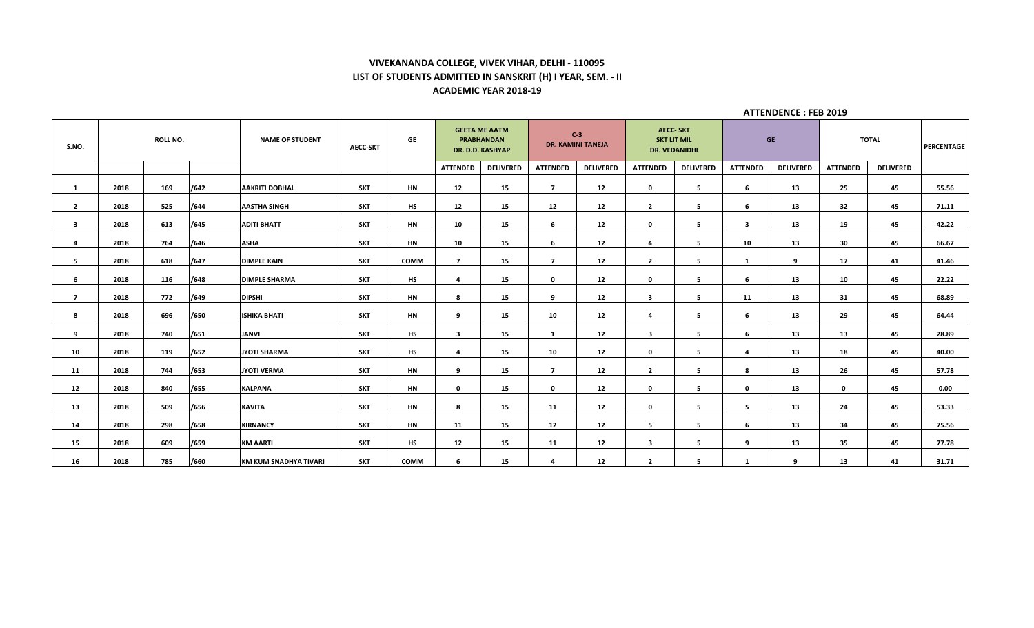## **VIVEKANANDA COLLEGE, VIVEK VIHAR, DELHI - 110095 LIST OF STUDENTS ADMITTED IN SANSKRIT (H) I YEAR, SEM. - II ACADEMIC YEAR 2018-19**

| S.NO.          | <b>ROLL NO.</b> |     | <b>NAME OF STUDENT</b> | AECC-SKT              | <b>GE</b>  | <b>GEETA ME AATM</b><br><b>PRABHANDAN</b><br>DR. D.D. KASHYAP |                 | $C-3$<br><b>DR. KAMINI TANEJA</b> |                         | <b>AECC-SKT</b><br><b>SKT LIT MIL</b><br><b>DR. VEDANIDHI</b> |                 | <b>GE</b>        |                 | <b>TOTAL</b>     |                 | PERCENTAGE       |       |
|----------------|-----------------|-----|------------------------|-----------------------|------------|---------------------------------------------------------------|-----------------|-----------------------------------|-------------------------|---------------------------------------------------------------|-----------------|------------------|-----------------|------------------|-----------------|------------------|-------|
|                |                 |     |                        |                       |            |                                                               | <b>ATTENDED</b> | <b>DELIVERED</b>                  | <b>ATTENDED</b>         | <b>DELIVERED</b>                                              | <b>ATTENDED</b> | <b>DELIVERED</b> | <b>ATTENDED</b> | <b>DELIVERED</b> | <b>ATTENDED</b> | <b>DELIVERED</b> |       |
| 1              | 2018            | 169 | /642                   | <b>AAKRITI DOBHAL</b> | <b>SKT</b> | HN                                                            | 12              | 15                                | $\overline{7}$          | 12                                                            | $\mathbf 0$     | 5                | 6               | 13               | 25              | 45               | 55.56 |
| $\overline{2}$ | 2018            | 525 | /644                   | <b>AASTHA SINGH</b>   | <b>SKT</b> | HS                                                            | 12              | 15                                | 12                      | 12                                                            | $\overline{2}$  | 5                | 6               | 13               | 32              | 45               | 71.11 |
| 3              | 2018            | 613 | /645                   | <b>ADITI BHATT</b>    | <b>SKT</b> | HN                                                            | 10              | 15                                | 6                       | 12                                                            | $\mathbf 0$     | 5                | -3              | 13               | 19              | 45               | 42.22 |
| $\overline{4}$ | 2018            | 764 | /646                   | <b>ASHA</b>           | <b>SKT</b> | HN                                                            | 10              | 15                                | 6                       | 12                                                            | $\overline{a}$  | 5                | ${\bf 10}$      | 13               | 30              | 45               | 66.67 |
| 5              | 2018            | 618 | /647                   | <b>DIMPLE KAIN</b>    | <b>SKT</b> | COMM                                                          | $\overline{7}$  | 15                                | $\overline{7}$          | 12                                                            | $\overline{2}$  | 5                | 1               | 9                | 17              | 41               | 41.46 |
| 6              | 2018            | 116 | /648                   | <b>DIMPLE SHARMA</b>  | <b>SKT</b> | HS                                                            | 4               | 15                                | $\mathbf 0$             | 12                                                            | $\mathbf 0$     | 5                | 6               | 13               | 10              | 45               | 22.22 |
| $\overline{7}$ | 2018            | 772 | /649                   | <b>DIPSHI</b>         | <b>SKT</b> | HN                                                            | 8               | 15                                | 9                       | 12                                                            | $\mathbf{3}$    | 5                | 11              | 13               | 31              | 45               | 68.89 |
| 8              | 2018            | 696 | /650                   | <b>ISHIKA BHATI</b>   | <b>SKT</b> | <b>HN</b>                                                     | 9               | 15                                | 10                      | 12                                                            | $\overline{a}$  | 5                | 6               | 13               | 29              | 45               | 64.44 |
| 9              | 2018            | 740 | /651                   | <b>JANVI</b>          | <b>SKT</b> | HS                                                            | $\mathbf{3}$    | 15                                | 1                       | 12                                                            | $\mathbf{3}$    | 5                | 6               | 13               | 13              | 45               | 28.89 |
| 10             | 2018            | 119 | /652                   | JYOTI SHARMA          | <b>SKT</b> | <b>HS</b>                                                     | 4               | 15                                | 10                      | 12                                                            | $\mathbf 0$     | 5                | $\overline{a}$  | 13               | 18              | 45               | 40.00 |
| 11             | 2018            | 744 | /653                   | JYOTI VERMA           | <b>SKT</b> | HN                                                            | 9               | 15                                | $\overline{7}$          | 12                                                            | $\overline{2}$  | 5                | 8               | 13               | 26              | 45               | 57.78 |
| 12             | 2018            | 840 | /655                   | <b>KALPANA</b>        | <b>SKT</b> | HN                                                            | $\mathbf 0$     | 15                                | $\mathbf{0}$            | 12                                                            | $\mathbf 0$     | 5                | 0               | 13               | $\mathbf 0$     | 45               | 0.00  |
| 13             | 2018            | 509 | /656                   | <b>KAVITA</b>         | <b>SKT</b> | HN                                                            | 8               | 15                                | 11                      | 12                                                            | $\mathbf{0}$    | 5                | 5               | 13               | 24              | 45               | 53.33 |
| 14             | 2018            | 298 | /658                   | <b>KIRNANCY</b>       | <b>SKT</b> | HN                                                            | 11              | 15                                | 12                      | 12                                                            | 5               | 5                | 6               | 13               | 34              | 45               | 75.56 |
| 15             | 2018            | 609 | /659                   | <b>KM AARTI</b>       | <b>SKT</b> | HS                                                            | 12              | 15                                | 11                      | 12                                                            | $\mathbf{3}$    | 5                | 9               | 13               | 35              | 45               | 77.78 |
| 16             | 2018            | 785 | /660                   | KM KUM SNADHYA TIVARI | <b>SKT</b> | COMM                                                          | 6               | 15                                | $\overline{\mathbf{a}}$ | 12                                                            | $\overline{2}$  | 5                | -1              | 9                | 13              | 41               | 31.71 |